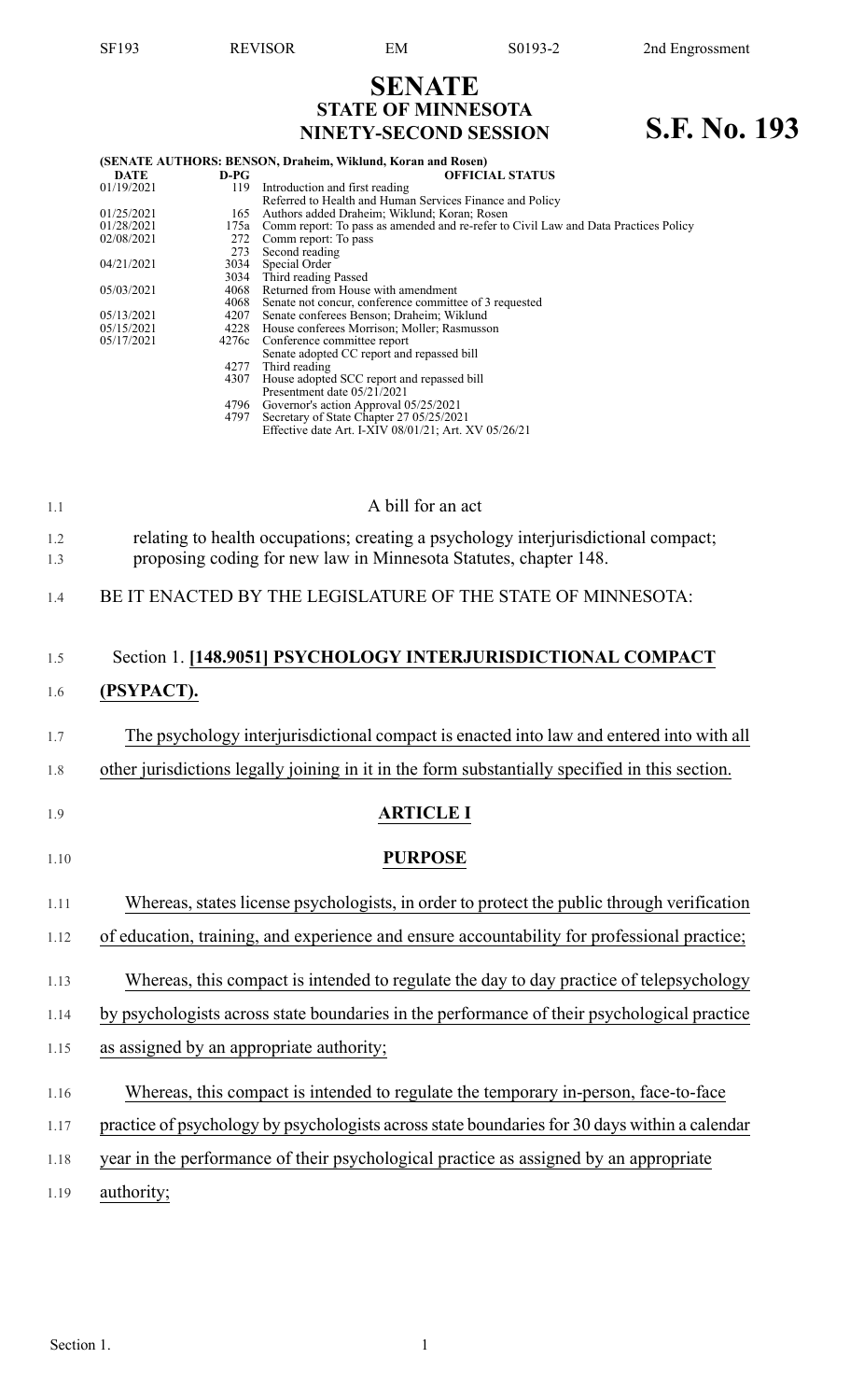# **SENATE STATE OF MINNESOTA NINETY-SECOND SESSION S.F. No. 193**

|             |        | (SENATE AUTHORS: BENSON, Draheim, Wiklund, Koran and Rosen)                         |  |  |  |  |
|-------------|--------|-------------------------------------------------------------------------------------|--|--|--|--|
| <b>DATE</b> | $D-PG$ | <b>OFFICIAL STATUS</b>                                                              |  |  |  |  |
| 01/19/2021  | 119    | Introduction and first reading                                                      |  |  |  |  |
|             |        | Referred to Health and Human Services Finance and Policy                            |  |  |  |  |
| 01/25/2021  | 165    | Authors added Draheim; Wiklund; Koran; Rosen                                        |  |  |  |  |
| 01/28/2021  | 175a   | Comm report: To pass as amended and re-refer to Civil Law and Data Practices Policy |  |  |  |  |
| 02/08/2021  | 272    | Comm report: To pass                                                                |  |  |  |  |
|             | 273    | Second reading                                                                      |  |  |  |  |
| 04/21/2021  |        | 3034 Special Order                                                                  |  |  |  |  |
|             |        | 3034 Third reading Passed                                                           |  |  |  |  |
| 05/03/2021  |        | 4068 Returned from House with amendment                                             |  |  |  |  |
|             |        | 4068 Senate not concur, conference committee of 3 requested                         |  |  |  |  |
| 05/13/2021  |        | 4207 Senate conferees Benson; Draheim; Wiklund                                      |  |  |  |  |
| 05/15/2021  |        | 4228 House conferees Morrison; Moller; Rasmusson                                    |  |  |  |  |
| 05/17/2021  |        | 4276c Conference committee report                                                   |  |  |  |  |
|             |        | Senate adopted CC report and repassed bill                                          |  |  |  |  |
|             |        | 4277 Third reading                                                                  |  |  |  |  |
|             |        | 4307 House adopted SCC report and repassed bill                                     |  |  |  |  |
|             |        | Presentment date 05/21/2021                                                         |  |  |  |  |
|             |        | 4796 Governor's action Approval 05/25/2021                                          |  |  |  |  |
|             |        | 4797 Secretary of State Chapter 27 05/25/2021                                       |  |  |  |  |

Effective date Art. I-XIV 08/01/21; Art. XV 05/26/21

| 1.1        | A bill for an act                                                                                                                                      |
|------------|--------------------------------------------------------------------------------------------------------------------------------------------------------|
| 1.2<br>1.3 | relating to health occupations; creating a psychology interjurisdictional compact;<br>proposing coding for new law in Minnesota Statutes, chapter 148. |
| 1.4        | BE IT ENACTED BY THE LEGISLATURE OF THE STATE OF MINNESOTA:                                                                                            |
| 1.5        | Section 1. [148.9051] PSYCHOLOGY INTERJURISDICTIONAL COMPACT                                                                                           |

#### 1.6 **(PSYPACT).**

- 1.7 The psychology interjurisdictional compact is enacted into law and entered into with all
- 1.8 other jurisdictions legally joining in it in the form substantially specified in this section.
- 
- 1.9 **ARTICLE I**

#### 1.10 **PURPOSE**

- 1.11 Whereas, states license psychologists, in order to protect the public through verification
- 1.12 of education, training, and experience and ensure accountability for professional practice;
- 1.13 Whereas, this compact is intended to regulate the day to day practice of telepsychology
- 1.14 by psychologists across state boundaries in the performance of their psychological practice
- 1.15 as assigned by an appropriate authority;
- 1.16 Whereas, this compact is intended to regulate the temporary in-person, face-to-face
- 1.17 practice of psychology by psychologists across state boundaries for 30 days within a calendar
- 1.18 year in the performance of their psychological practice as assigned by an appropriate
- 1.19 authority;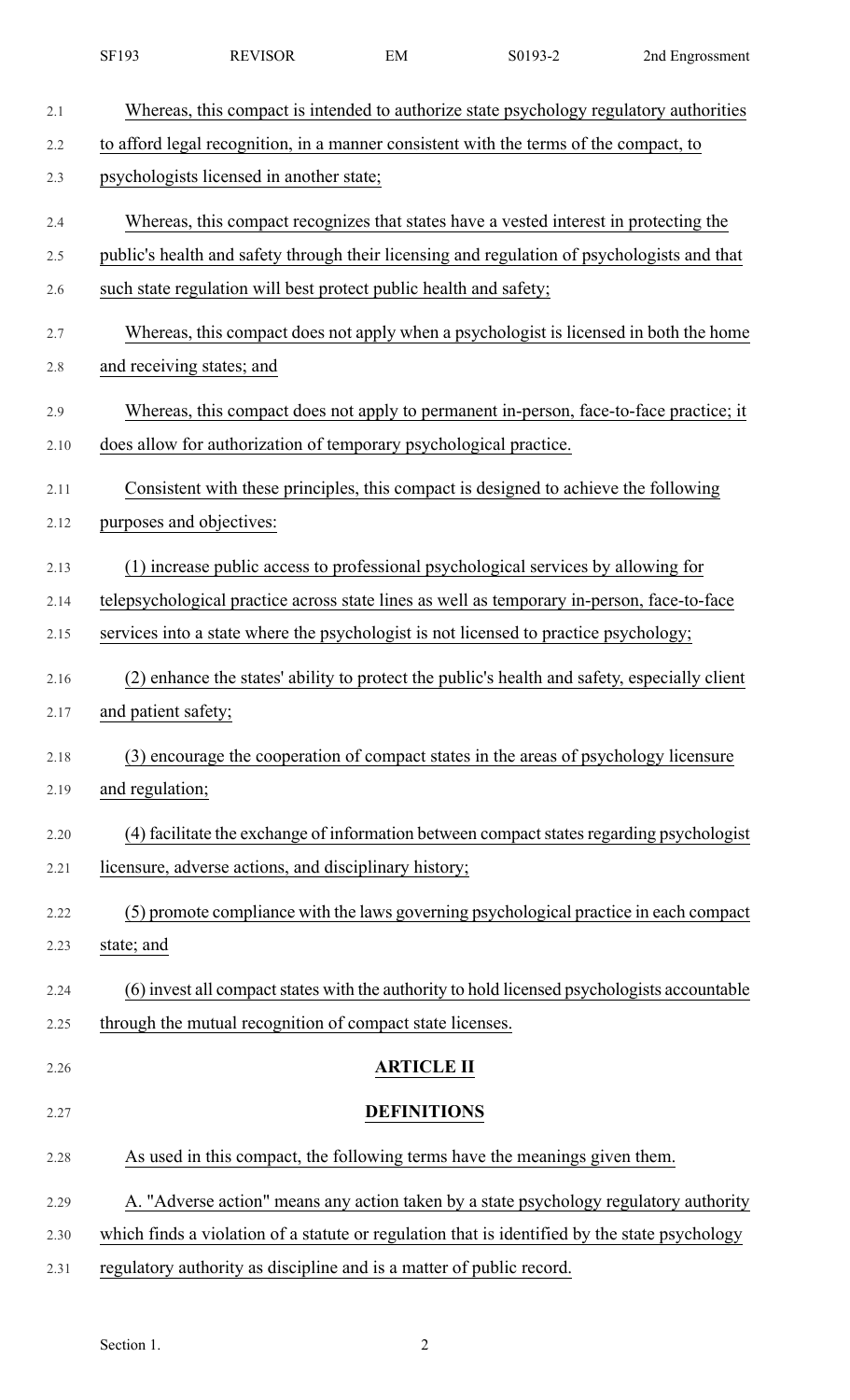|      | SF193                                                                                       | <b>REVISOR</b>                                                       | EM                 | S0193-2                                                                                       | 2nd Engrossment                                                                              |  |
|------|---------------------------------------------------------------------------------------------|----------------------------------------------------------------------|--------------------|-----------------------------------------------------------------------------------------------|----------------------------------------------------------------------------------------------|--|
| 2.1  |                                                                                             |                                                                      |                    |                                                                                               | Whereas, this compact is intended to authorize state psychology regulatory authorities       |  |
| 2.2  |                                                                                             |                                                                      |                    | to afford legal recognition, in a manner consistent with the terms of the compact, to         |                                                                                              |  |
| 2.3  | psychologists licensed in another state;                                                    |                                                                      |                    |                                                                                               |                                                                                              |  |
| 2.4  | Whereas, this compact recognizes that states have a vested interest in protecting the       |                                                                      |                    |                                                                                               |                                                                                              |  |
| 2.5  | public's health and safety through their licensing and regulation of psychologists and that |                                                                      |                    |                                                                                               |                                                                                              |  |
| 2.6  | such state regulation will best protect public health and safety;                           |                                                                      |                    |                                                                                               |                                                                                              |  |
| 2.7  | Whereas, this compact does not apply when a psychologist is licensed in both the home       |                                                                      |                    |                                                                                               |                                                                                              |  |
| 2.8  | and receiving states; and                                                                   |                                                                      |                    |                                                                                               |                                                                                              |  |
| 2.9  |                                                                                             |                                                                      |                    |                                                                                               | Whereas, this compact does not apply to permanent in-person, face-to-face practice; it       |  |
| 2.10 |                                                                                             | does allow for authorization of temporary psychological practice.    |                    |                                                                                               |                                                                                              |  |
| 2.11 |                                                                                             |                                                                      |                    | Consistent with these principles, this compact is designed to achieve the following           |                                                                                              |  |
| 2.12 | purposes and objectives:                                                                    |                                                                      |                    |                                                                                               |                                                                                              |  |
| 2.13 |                                                                                             |                                                                      |                    | (1) increase public access to professional psychological services by allowing for             |                                                                                              |  |
| 2.14 |                                                                                             |                                                                      |                    | telepsychological practice across state lines as well as temporary in-person, face-to-face    |                                                                                              |  |
| 2.15 |                                                                                             |                                                                      |                    | services into a state where the psychologist is not licensed to practice psychology;          |                                                                                              |  |
| 2.16 |                                                                                             |                                                                      |                    |                                                                                               | (2) enhance the states' ability to protect the public's health and safety, especially client |  |
| 2.17 | and patient safety;                                                                         |                                                                      |                    |                                                                                               |                                                                                              |  |
| 2.18 |                                                                                             |                                                                      |                    | (3) encourage the cooperation of compact states in the areas of psychology licensure          |                                                                                              |  |
| 2.19 | and regulation;                                                                             |                                                                      |                    |                                                                                               |                                                                                              |  |
| 2.20 |                                                                                             |                                                                      |                    |                                                                                               | (4) facilitate the exchange of information between compact states regarding psychologist     |  |
| 2.21 |                                                                                             | licensure, adverse actions, and disciplinary history;                |                    |                                                                                               |                                                                                              |  |
| 2.22 |                                                                                             |                                                                      |                    |                                                                                               | (5) promote compliance with the laws governing psychological practice in each compact        |  |
| 2.23 | state; and                                                                                  |                                                                      |                    |                                                                                               |                                                                                              |  |
| 2.24 |                                                                                             |                                                                      |                    |                                                                                               | (6) invest all compact states with the authority to hold licensed psychologists accountable  |  |
| 2.25 |                                                                                             | through the mutual recognition of compact state licenses.            |                    |                                                                                               |                                                                                              |  |
| 2.26 |                                                                                             |                                                                      | <b>ARTICLE II</b>  |                                                                                               |                                                                                              |  |
| 2.27 |                                                                                             |                                                                      | <b>DEFINITIONS</b> |                                                                                               |                                                                                              |  |
| 2.28 |                                                                                             |                                                                      |                    | As used in this compact, the following terms have the meanings given them.                    |                                                                                              |  |
| 2.29 |                                                                                             |                                                                      |                    |                                                                                               | A. "Adverse action" means any action taken by a state psychology regulatory authority        |  |
| 2.30 |                                                                                             |                                                                      |                    | which finds a violation of a statute or regulation that is identified by the state psychology |                                                                                              |  |
| 2.31 |                                                                                             | regulatory authority as discipline and is a matter of public record. |                    |                                                                                               |                                                                                              |  |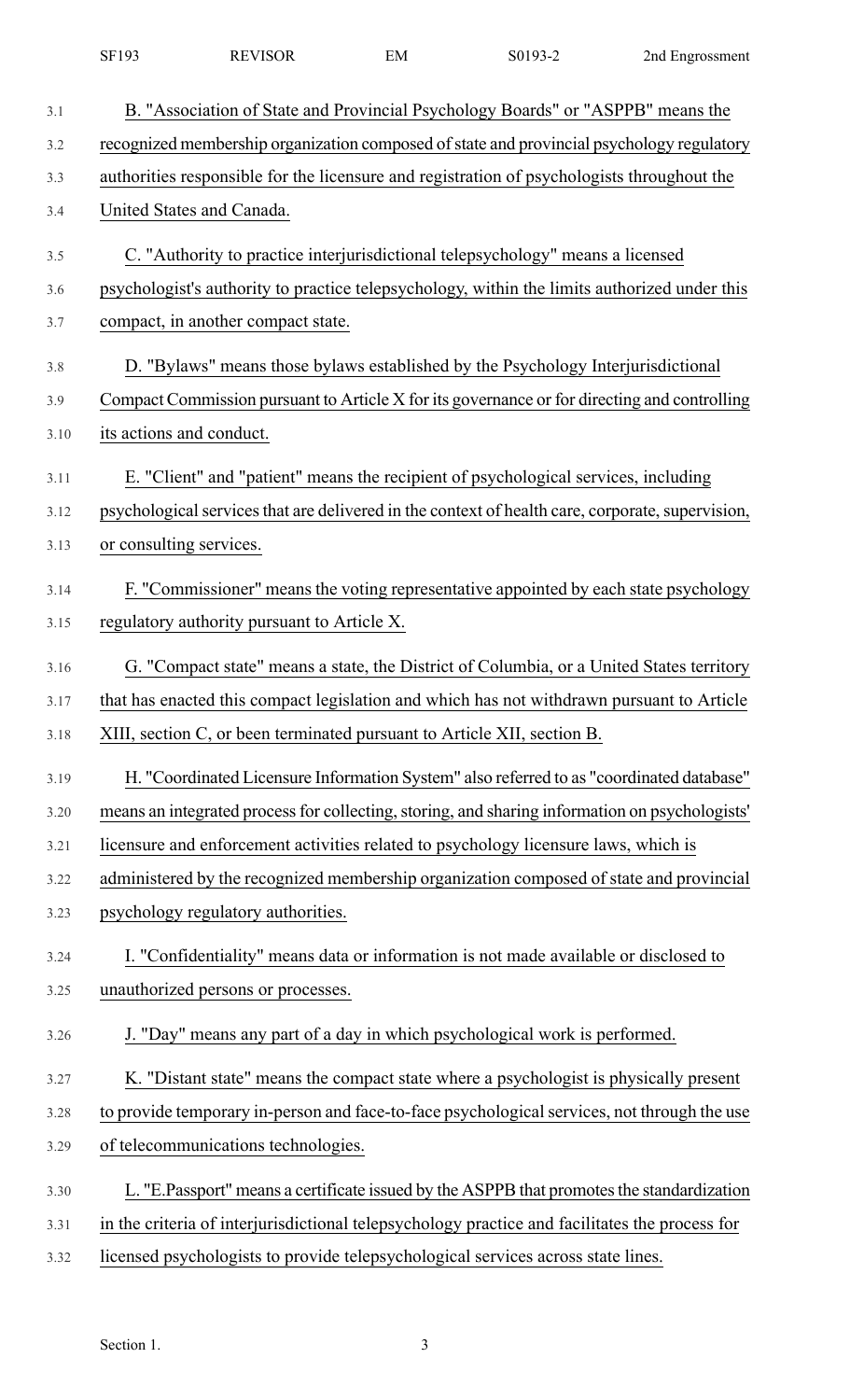| 3.1  | B. "Association of State and Provincial Psychology Boards" or "ASPPB" means the                  |
|------|--------------------------------------------------------------------------------------------------|
| 3.2  | recognized membership organization composed of state and provincial psychology regulatory        |
| 3.3  | authorities responsible for the licensure and registration of psychologists throughout the       |
| 3.4  | United States and Canada.                                                                        |
| 3.5  | C. "Authority to practice interjurisdictional telepsychology" means a licensed                   |
| 3.6  | psychologist's authority to practice telepsychology, within the limits authorized under this     |
| 3.7  | compact, in another compact state.                                                               |
| 3.8  | D. "Bylaws" means those bylaws established by the Psychology Interjurisdictional                 |
| 3.9  | Compact Commission pursuant to Article X for its governance or for directing and controlling     |
| 3.10 | its actions and conduct.                                                                         |
| 3.11 | E. "Client" and "patient" means the recipient of psychological services, including               |
| 3.12 | psychological services that are delivered in the context of health care, corporate, supervision, |
| 3.13 | or consulting services.                                                                          |
| 3.14 | F. "Commissioner" means the voting representative appointed by each state psychology             |
| 3.15 | regulatory authority pursuant to Article X.                                                      |
| 3.16 | G. "Compact state" means a state, the District of Columbia, or a United States territory         |
| 3.17 | that has enacted this compact legislation and which has not withdrawn pursuant to Article        |
| 3.18 | XIII, section C, or been terminated pursuant to Article XII, section B.                          |
| 3.19 | H. "Coordinated Licensure Information System" also referred to as "coordinated database"         |
| 3.20 | means an integrated process for collecting, storing, and sharing information on psychologists'   |
| 3.21 | licensure and enforcement activities related to psychology licensure laws, which is              |
| 3.22 | administered by the recognized membership organization composed of state and provincial          |
| 3.23 | psychology regulatory authorities.                                                               |
| 3.24 | I. "Confidentiality" means data or information is not made available or disclosed to             |
| 3.25 | unauthorized persons or processes.                                                               |
| 3.26 | J. "Day" means any part of a day in which psychological work is performed.                       |
| 3.27 | K. "Distant state" means the compact state where a psychologist is physically present            |
| 3.28 | to provide temporary in-person and face-to-face psychological services, not through the use      |
| 3.29 | of telecommunications technologies.                                                              |
| 3.30 | L. "E.Passport" means a certificate issued by the ASPPB that promotes the standardization        |
| 3.31 | in the criteria of interjurisdictional telepsychology practice and facilitates the process for   |
| 3.32 | licensed psychologists to provide telepsychological services across state lines.                 |

SF193 REVISOR EM S0193-2 2nd Engrossment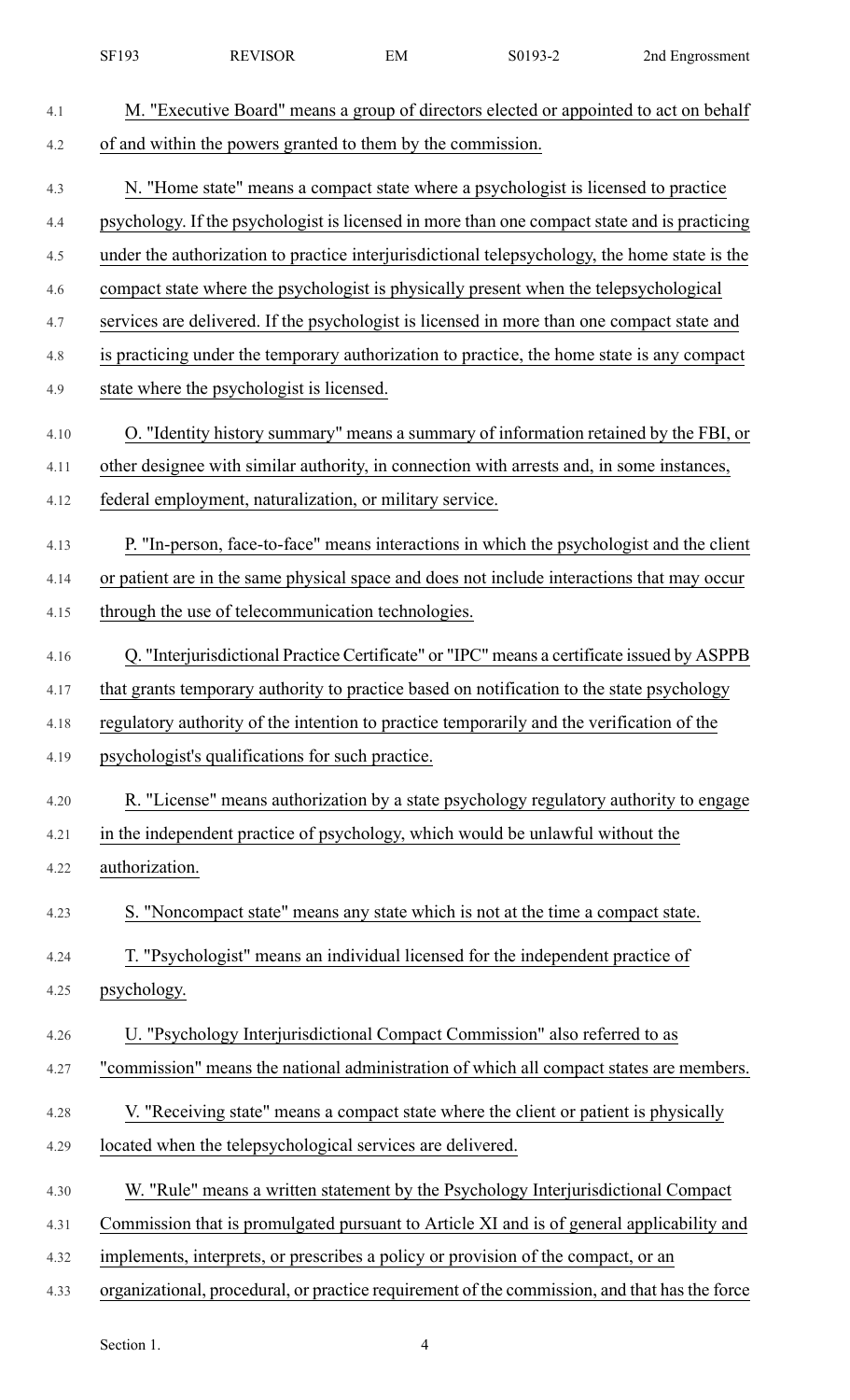|      | SF193          | <b>REVISOR</b>                                                                                | EM | S0193-2 | 2nd Engrossment |
|------|----------------|-----------------------------------------------------------------------------------------------|----|---------|-----------------|
| 4.1  |                | M. "Executive Board" means a group of directors elected or appointed to act on behalf         |    |         |                 |
| 4.2  |                | of and within the powers granted to them by the commission.                                   |    |         |                 |
| 4.3  |                | N. "Home state" means a compact state where a psychologist is licensed to practice            |    |         |                 |
| 4.4  |                | psychology. If the psychologist is licensed in more than one compact state and is practicing  |    |         |                 |
| 4.5  |                | under the authorization to practice interjurisdictional telepsychology, the home state is the |    |         |                 |
| 4.6  |                | compact state where the psychologist is physically present when the telepsychological         |    |         |                 |
| 4.7  |                | services are delivered. If the psychologist is licensed in more than one compact state and    |    |         |                 |
| 4.8  |                | is practicing under the temporary authorization to practice, the home state is any compact    |    |         |                 |
| 4.9  |                | state where the psychologist is licensed.                                                     |    |         |                 |
| 4.10 |                | O. "Identity history summary" means a summary of information retained by the FBI, or          |    |         |                 |
| 4.11 |                | other designee with similar authority, in connection with arrests and, in some instances,     |    |         |                 |
| 4.12 |                | federal employment, naturalization, or military service.                                      |    |         |                 |
| 4.13 |                | P. "In-person, face-to-face" means interactions in which the psychologist and the client      |    |         |                 |
| 4.14 |                | or patient are in the same physical space and does not include interactions that may occur    |    |         |                 |
| 4.15 |                | through the use of telecommunication technologies.                                            |    |         |                 |
| 4.16 |                | Q. "Interjurisdictional Practice Certificate" or "IPC" means a certificate issued by ASPPB    |    |         |                 |
| 4.17 |                | that grants temporary authority to practice based on notification to the state psychology     |    |         |                 |
| 4.18 |                | regulatory authority of the intention to practice temporarily and the verification of the     |    |         |                 |
| 4.19 |                | psychologist's qualifications for such practice.                                              |    |         |                 |
| 4.20 |                | R. "License" means authorization by a state psychology regulatory authority to engage         |    |         |                 |
| 4.21 |                | in the independent practice of psychology, which would be unlawful without the                |    |         |                 |
| 4.22 | authorization. |                                                                                               |    |         |                 |
| 4.23 |                | S. "Noncompact state" means any state which is not at the time a compact state.               |    |         |                 |
| 4.24 |                | T. "Psychologist" means an individual licensed for the independent practice of                |    |         |                 |
| 4.25 | psychology.    |                                                                                               |    |         |                 |
| 4.26 |                | U. "Psychology Interjurisdictional Compact Commission" also referred to as                    |    |         |                 |
| 4.27 |                | "commission" means the national administration of which all compact states are members.       |    |         |                 |
| 4.28 |                | V. "Receiving state" means a compact state where the client or patient is physically          |    |         |                 |
| 4.29 |                | located when the telepsychological services are delivered.                                    |    |         |                 |
| 4.30 |                | W. "Rule" means a written statement by the Psychology Interjurisdictional Compact             |    |         |                 |
| 4.31 |                | Commission that is promulgated pursuant to Article XI and is of general applicability and     |    |         |                 |
| 4.32 |                | implements, interprets, or prescribes a policy or provision of the compact, or an             |    |         |                 |
| 4.33 |                | organizational, procedural, or practice requirement of the commission, and that has the force |    |         |                 |
|      |                |                                                                                               |    |         |                 |

Section 1. 4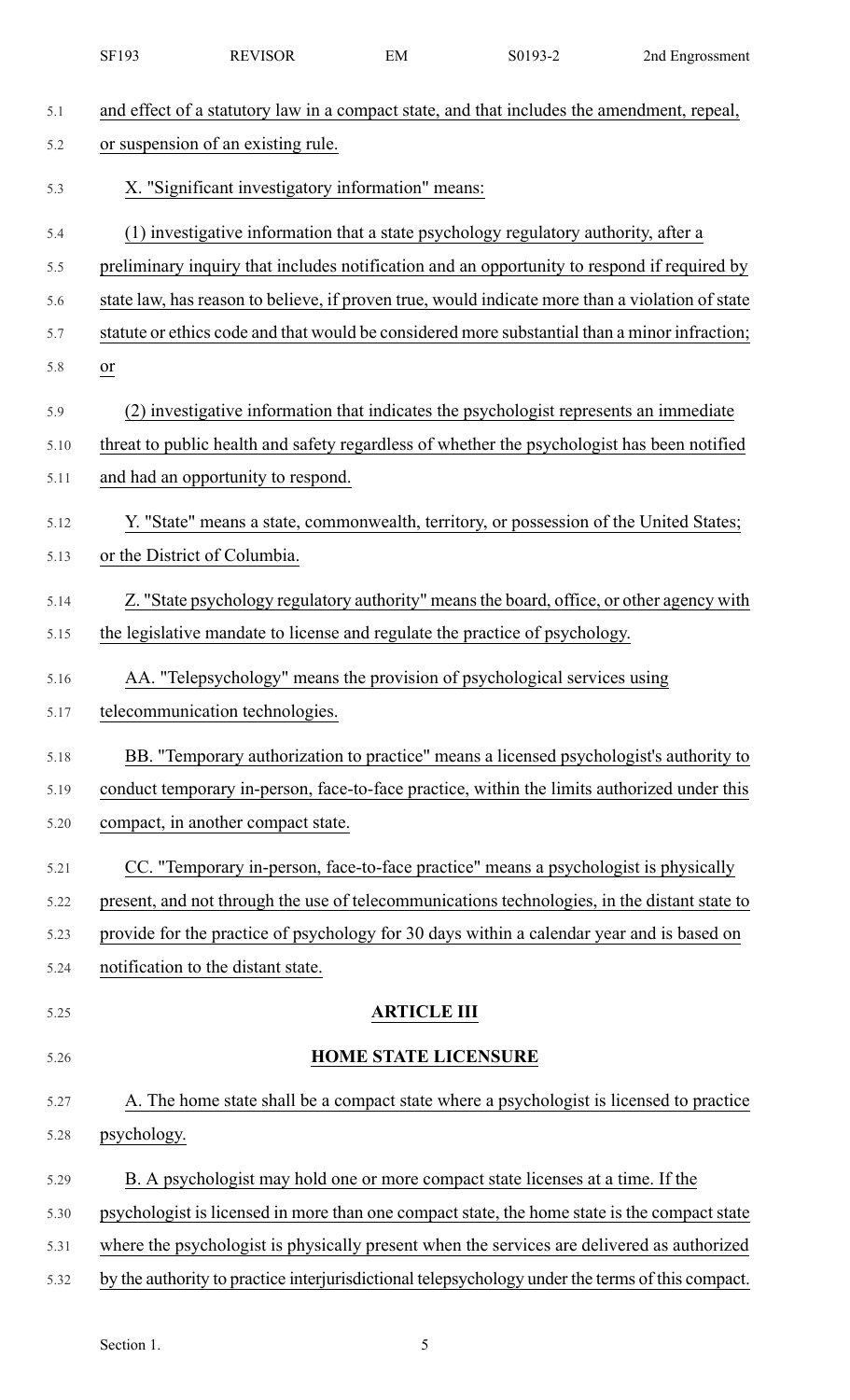|      | SF193                              | <b>REVISOR</b>                                    | EM                          | S0193-2                                                                                     | 2nd Engrossment                                                                                  |
|------|------------------------------------|---------------------------------------------------|-----------------------------|---------------------------------------------------------------------------------------------|--------------------------------------------------------------------------------------------------|
| 5.1  |                                    |                                                   |                             | and effect of a statutory law in a compact state, and that includes the amendment, repeal,  |                                                                                                  |
| 5.2  |                                    | or suspension of an existing rule.                |                             |                                                                                             |                                                                                                  |
| 5.3  |                                    | X. "Significant investigatory information" means: |                             |                                                                                             |                                                                                                  |
| 5.4  |                                    |                                                   |                             | (1) investigative information that a state psychology regulatory authority, after a         |                                                                                                  |
| 5.5  |                                    |                                                   |                             |                                                                                             | preliminary inquiry that includes notification and an opportunity to respond if required by      |
| 5.6  |                                    |                                                   |                             |                                                                                             | state law, has reason to believe, if proven true, would indicate more than a violation of state  |
| 5.7  |                                    |                                                   |                             |                                                                                             | statute or ethics code and that would be considered more substantial than a minor infraction;    |
| 5.8  | $\frac{or}{ }$                     |                                                   |                             |                                                                                             |                                                                                                  |
| 5.9  |                                    |                                                   |                             | (2) investigative information that indicates the psychologist represents an immediate       |                                                                                                  |
| 5.10 |                                    |                                                   |                             | threat to public health and safety regardless of whether the psychologist has been notified |                                                                                                  |
| 5.11 |                                    | and had an opportunity to respond.                |                             |                                                                                             |                                                                                                  |
| 5.12 |                                    |                                                   |                             | Y. "State" means a state, commonwealth, territory, or possession of the United States;      |                                                                                                  |
| 5.13 | or the District of Columbia.       |                                                   |                             |                                                                                             |                                                                                                  |
| 5.14 |                                    |                                                   |                             |                                                                                             | Z. "State psychology regulatory authority" means the board, office, or other agency with         |
| 5.15 |                                    |                                                   |                             | the legislative mandate to license and regulate the practice of psychology.                 |                                                                                                  |
| 5.16 |                                    |                                                   |                             | AA. "Telepsychology" means the provision of psychological services using                    |                                                                                                  |
| 5.17 |                                    | telecommunication technologies.                   |                             |                                                                                             |                                                                                                  |
| 5.18 |                                    |                                                   |                             |                                                                                             | BB. "Temporary authorization to practice" means a licensed psychologist's authority to           |
| 5.19 |                                    |                                                   |                             |                                                                                             | conduct temporary in-person, face-to-face practice, within the limits authorized under this      |
| 5.20 |                                    | compact, in another compact state.                |                             |                                                                                             |                                                                                                  |
| 5.21 |                                    |                                                   |                             | CC. "Temporary in-person, face-to-face practice" means a psychologist is physically         |                                                                                                  |
| 5.22 |                                    |                                                   |                             |                                                                                             | present, and not through the use of telecommunications technologies, in the distant state to     |
| 5.23 |                                    |                                                   |                             | provide for the practice of psychology for 30 days within a calendar year and is based on   |                                                                                                  |
| 5.24 | notification to the distant state. |                                                   |                             |                                                                                             |                                                                                                  |
| 5.25 |                                    |                                                   | <b>ARTICLE III</b>          |                                                                                             |                                                                                                  |
| 5.26 |                                    |                                                   | <b>HOME STATE LICENSURE</b> |                                                                                             |                                                                                                  |
| 5.27 |                                    |                                                   |                             |                                                                                             | A. The home state shall be a compact state where a psychologist is licensed to practice          |
| 5.28 | psychology.                        |                                                   |                             |                                                                                             |                                                                                                  |
| 5.29 |                                    |                                                   |                             | B. A psychologist may hold one or more compact state licenses at a time. If the             |                                                                                                  |
| 5.30 |                                    |                                                   |                             |                                                                                             | psychologist is licensed in more than one compact state, the home state is the compact state     |
| 5.31 |                                    |                                                   |                             |                                                                                             | where the psychologist is physically present when the services are delivered as authorized       |
| 5.32 |                                    |                                                   |                             |                                                                                             | by the authority to practice interjurisdictional telepsychology under the terms of this compact. |
|      |                                    |                                                   |                             |                                                                                             |                                                                                                  |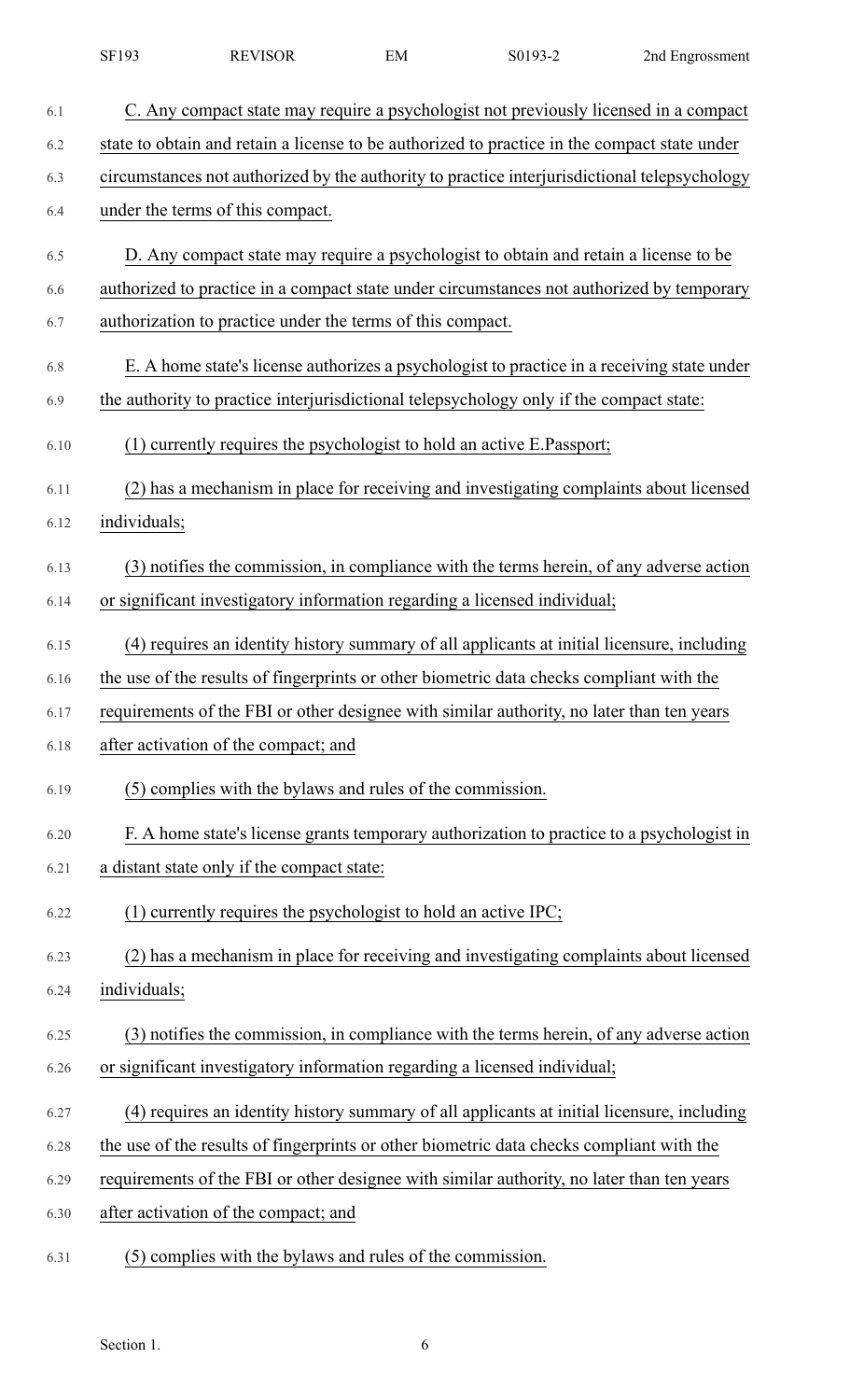|      | SF193        | <b>REVISOR</b>                                                                               | EM | S0193-2 | 2nd Engrossment |
|------|--------------|----------------------------------------------------------------------------------------------|----|---------|-----------------|
| 6.1  |              | C. Any compact state may require a psychologist not previously licensed in a compact         |    |         |                 |
| 6.2  |              | state to obtain and retain a license to be authorized to practice in the compact state under |    |         |                 |
| 6.3  |              | circumstances not authorized by the authority to practice interjurisdictional telepsychology |    |         |                 |
| 6.4  |              | under the terms of this compact.                                                             |    |         |                 |
| 6.5  |              | D. Any compact state may require a psychologist to obtain and retain a license to be         |    |         |                 |
| 6.6  |              | authorized to practice in a compact state under circumstances not authorized by temporary    |    |         |                 |
| 6.7  |              | authorization to practice under the terms of this compact.                                   |    |         |                 |
| 6.8  |              | E. A home state's license authorizes a psychologist to practice in a receiving state under   |    |         |                 |
| 6.9  |              | the authority to practice interjurisdictional telepsychology only if the compact state:      |    |         |                 |
| 6.10 |              | (1) currently requires the psychologist to hold an active E.Passport;                        |    |         |                 |
| 6.11 |              | (2) has a mechanism in place for receiving and investigating complaints about licensed       |    |         |                 |
| 6.12 | individuals; |                                                                                              |    |         |                 |
| 6.13 |              | (3) notifies the commission, in compliance with the terms herein, of any adverse action      |    |         |                 |
| 6.14 |              | or significant investigatory information regarding a licensed individual;                    |    |         |                 |
| 6.15 |              | (4) requires an identity history summary of all applicants at initial licensure, including   |    |         |                 |
| 6.16 |              | the use of the results of fingerprints or other biometric data checks compliant with the     |    |         |                 |
| 6.17 |              | requirements of the FBI or other designee with similar authority, no later than ten years    |    |         |                 |
| 6.18 |              | after activation of the compact; and                                                         |    |         |                 |
| 6.19 |              | (5) complies with the bylaws and rules of the commission.                                    |    |         |                 |
| 6.20 |              | F. A home state's license grants temporary authorization to practice to a psychologist in    |    |         |                 |
| 6.21 |              | a distant state only if the compact state:                                                   |    |         |                 |
| 6.22 |              | $(1)$ currently requires the psychologist to hold an active IPC;                             |    |         |                 |
| 6.23 |              | (2) has a mechanism in place for receiving and investigating complaints about licensed       |    |         |                 |
| 6.24 | individuals; |                                                                                              |    |         |                 |
| 6.25 |              | (3) notifies the commission, in compliance with the terms herein, of any adverse action      |    |         |                 |
| 6.26 |              | or significant investigatory information regarding a licensed individual;                    |    |         |                 |
| 6.27 |              | (4) requires an identity history summary of all applicants at initial licensure, including   |    |         |                 |
| 6.28 |              | the use of the results of fingerprints or other biometric data checks compliant with the     |    |         |                 |
| 6.29 |              | requirements of the FBI or other designee with similar authority, no later than ten years    |    |         |                 |
| 6.30 |              | after activation of the compact; and                                                         |    |         |                 |
|      |              |                                                                                              |    |         |                 |

6.31 (5) complies with the bylaws and rules of the commission.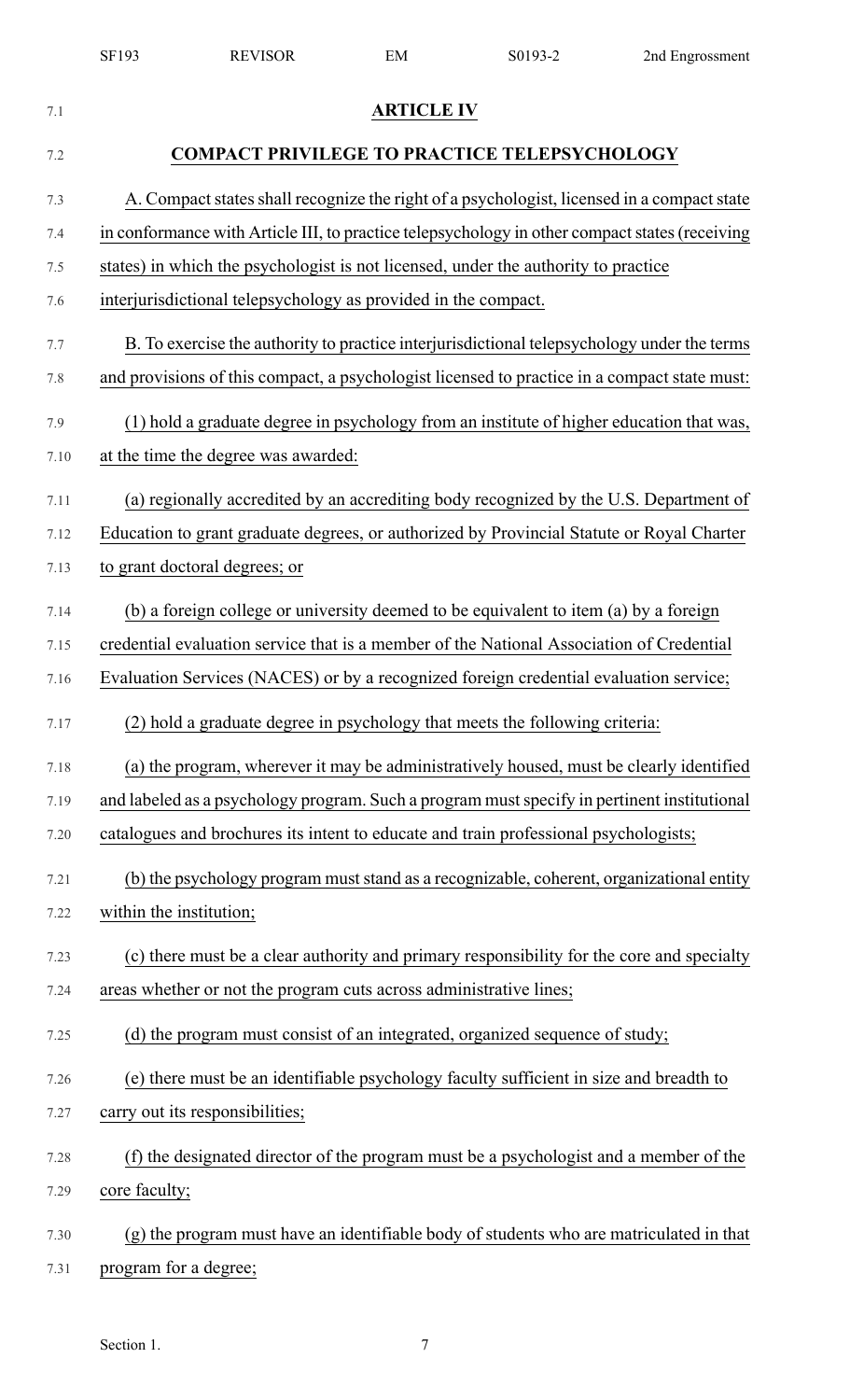|      | SF193                   | <b>REVISOR</b>                                                                                 | EM                | S0193-2 | 2nd Engrossment |
|------|-------------------------|------------------------------------------------------------------------------------------------|-------------------|---------|-----------------|
| 7.1  |                         |                                                                                                | <b>ARTICLE IV</b> |         |                 |
| 7.2  |                         | <b>COMPACT PRIVILEGE TO PRACTICE TELEPSYCHOLOGY</b>                                            |                   |         |                 |
| 7.3  |                         | A. Compact states shall recognize the right of a psychologist, licensed in a compact state     |                   |         |                 |
| 7.4  |                         | in conformance with Article III, to practice telepsychology in other compact states (receiving |                   |         |                 |
| 7.5  |                         | states) in which the psychologist is not licensed, under the authority to practice             |                   |         |                 |
| 7.6  |                         | interjurisdictional telepsychology as provided in the compact.                                 |                   |         |                 |
| 7.7  |                         | B. To exercise the authority to practice interjurisdictional telepsychology under the terms    |                   |         |                 |
| 7.8  |                         | and provisions of this compact, a psychologist licensed to practice in a compact state must:   |                   |         |                 |
| 7.9  |                         | (1) hold a graduate degree in psychology from an institute of higher education that was,       |                   |         |                 |
| 7.10 |                         | at the time the degree was awarded:                                                            |                   |         |                 |
| 7.11 |                         | (a) regionally accredited by an accrediting body recognized by the U.S. Department of          |                   |         |                 |
| 7.12 |                         | Education to grant graduate degrees, or authorized by Provincial Statute or Royal Charter      |                   |         |                 |
| 7.13 |                         | to grant doctoral degrees; or                                                                  |                   |         |                 |
| 7.14 |                         | (b) a foreign college or university deemed to be equivalent to item (a) by a foreign           |                   |         |                 |
| 7.15 |                         | credential evaluation service that is a member of the National Association of Credential       |                   |         |                 |
| 7.16 |                         | Evaluation Services (NACES) or by a recognized foreign credential evaluation service;          |                   |         |                 |
| 7.17 |                         | (2) hold a graduate degree in psychology that meets the following criteria:                    |                   |         |                 |
| 7.18 |                         | (a) the program, wherever it may be administratively housed, must be clearly identified        |                   |         |                 |
| 7.19 |                         | and labeled as a psychology program. Such a program must specify in pertinent institutional    |                   |         |                 |
| 7.20 |                         | catalogues and brochures its intent to educate and train professional psychologists;           |                   |         |                 |
| 7.21 |                         | (b) the psychology program must stand as a recognizable, coherent, organizational entity       |                   |         |                 |
| 7.22 | within the institution; |                                                                                                |                   |         |                 |
| 7.23 |                         | (c) there must be a clear authority and primary responsibility for the core and specialty      |                   |         |                 |
| 7.24 |                         | areas whether or not the program cuts across administrative lines;                             |                   |         |                 |
| 7.25 |                         | (d) the program must consist of an integrated, organized sequence of study;                    |                   |         |                 |
| 7.26 |                         | (e) there must be an identifiable psychology faculty sufficient in size and breadth to         |                   |         |                 |
| 7.27 |                         | carry out its responsibilities;                                                                |                   |         |                 |
| 7.28 |                         | (f) the designated director of the program must be a psychologist and a member of the          |                   |         |                 |
| 7.29 | core faculty;           |                                                                                                |                   |         |                 |
| 7.30 |                         | (g) the program must have an identifiable body of students who are matriculated in that        |                   |         |                 |
| 7.31 | program for a degree;   |                                                                                                |                   |         |                 |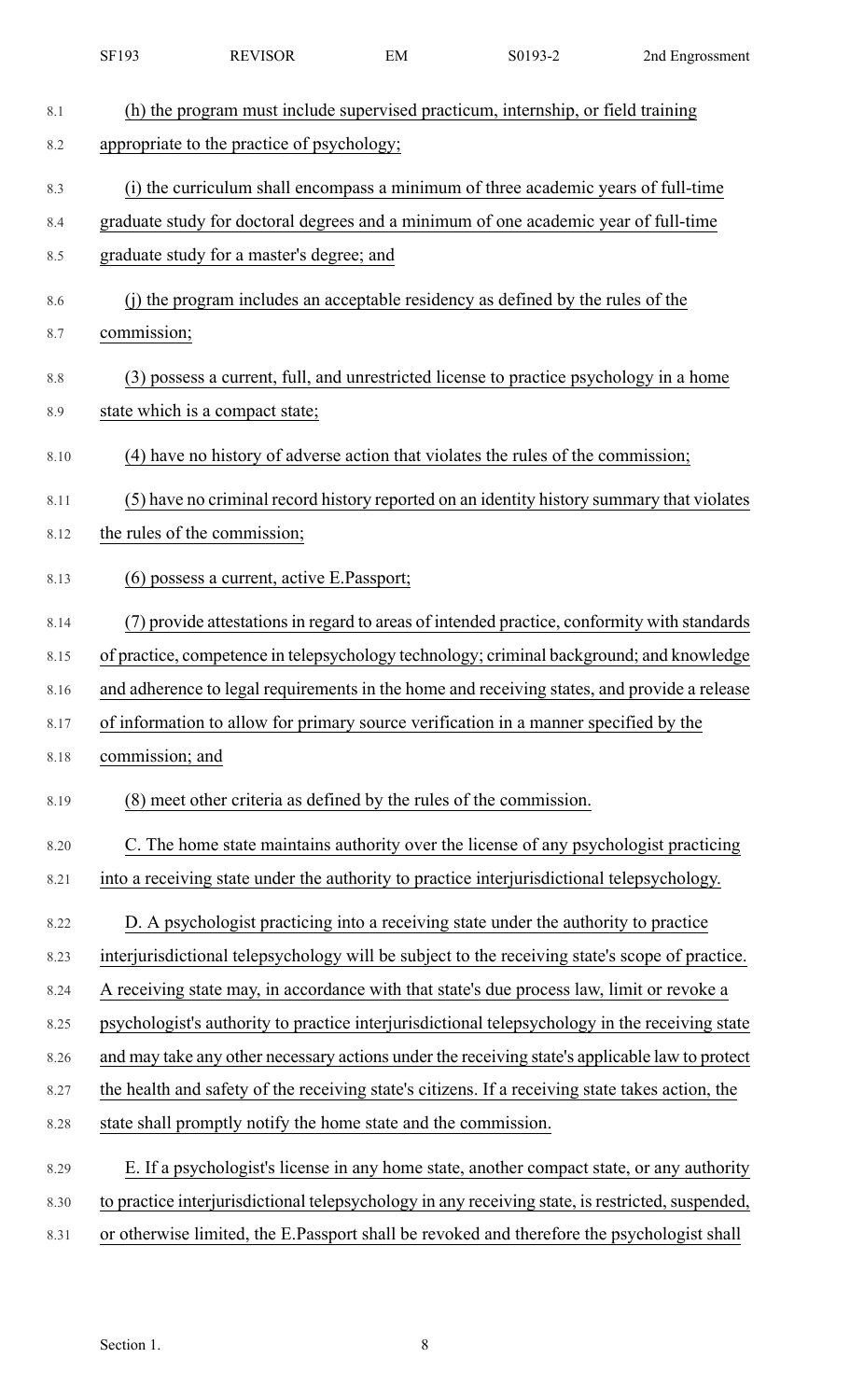|      | SF193           | <b>REVISOR</b>                                                     | EM | S0193-2                                                                                          | 2nd Engrossment |
|------|-----------------|--------------------------------------------------------------------|----|--------------------------------------------------------------------------------------------------|-----------------|
| 8.1  |                 |                                                                    |    | (h) the program must include supervised practicum, internship, or field training                 |                 |
| 8.2  |                 | appropriate to the practice of psychology;                         |    |                                                                                                  |                 |
| 8.3  |                 |                                                                    |    | (i) the curriculum shall encompass a minimum of three academic years of full-time                |                 |
| 8.4  |                 |                                                                    |    | graduate study for doctoral degrees and a minimum of one academic year of full-time              |                 |
| 8.5  |                 | graduate study for a master's degree; and                          |    |                                                                                                  |                 |
| 8.6  |                 |                                                                    |    | (j) the program includes an acceptable residency as defined by the rules of the                  |                 |
| 8.7  | commission;     |                                                                    |    |                                                                                                  |                 |
|      |                 |                                                                    |    |                                                                                                  |                 |
| 8.8  |                 |                                                                    |    | (3) possess a current, full, and unrestricted license to practice psychology in a home           |                 |
| 8.9  |                 | state which is a compact state;                                    |    |                                                                                                  |                 |
| 8.10 |                 |                                                                    |    | (4) have no history of adverse action that violates the rules of the commission;                 |                 |
| 8.11 |                 |                                                                    |    | (5) have no criminal record history reported on an identity history summary that violates        |                 |
| 8.12 |                 | the rules of the commission;                                       |    |                                                                                                  |                 |
| 8.13 |                 | (6) possess a current, active E.Passport;                          |    |                                                                                                  |                 |
| 8.14 |                 |                                                                    |    | (7) provide attestations in regard to areas of intended practice, conformity with standards      |                 |
| 8.15 |                 |                                                                    |    | of practice, competence in telepsychology technology; criminal background; and knowledge         |                 |
| 8.16 |                 |                                                                    |    | and adherence to legal requirements in the home and receiving states, and provide a release      |                 |
| 8.17 |                 |                                                                    |    | of information to allow for primary source verification in a manner specified by the             |                 |
| 8.18 | commission; and |                                                                    |    |                                                                                                  |                 |
| 8.19 |                 | (8) meet other criteria as defined by the rules of the commission. |    |                                                                                                  |                 |
| 8.20 |                 |                                                                    |    | C. The home state maintains authority over the license of any psychologist practicing            |                 |
| 8.21 |                 |                                                                    |    | into a receiving state under the authority to practice interjurisdictional telepsychology.       |                 |
| 8.22 |                 |                                                                    |    | D. A psychologist practicing into a receiving state under the authority to practice              |                 |
| 8.23 |                 |                                                                    |    | interjurisdictional telepsychology will be subject to the receiving state's scope of practice.   |                 |
| 8.24 |                 |                                                                    |    | A receiving state may, in accordance with that state's due process law, limit or revoke a        |                 |
| 8.25 |                 |                                                                    |    | psychologist's authority to practice interjurisdictional telepsychology in the receiving state   |                 |
| 8.26 |                 |                                                                    |    | and may take any other necessary actions under the receiving state's applicable law to protect   |                 |
| 8.27 |                 |                                                                    |    | the health and safety of the receiving state's citizens. If a receiving state takes action, the  |                 |
| 8.28 |                 | state shall promptly notify the home state and the commission.     |    |                                                                                                  |                 |
| 8.29 |                 |                                                                    |    | E. If a psychologist's license in any home state, another compact state, or any authority        |                 |
| 8.30 |                 |                                                                    |    | to practice interjurisdictional telepsychology in any receiving state, is restricted, suspended, |                 |
| 8.31 |                 |                                                                    |    | or otherwise limited, the E.Passport shall be revoked and therefore the psychologist shall       |                 |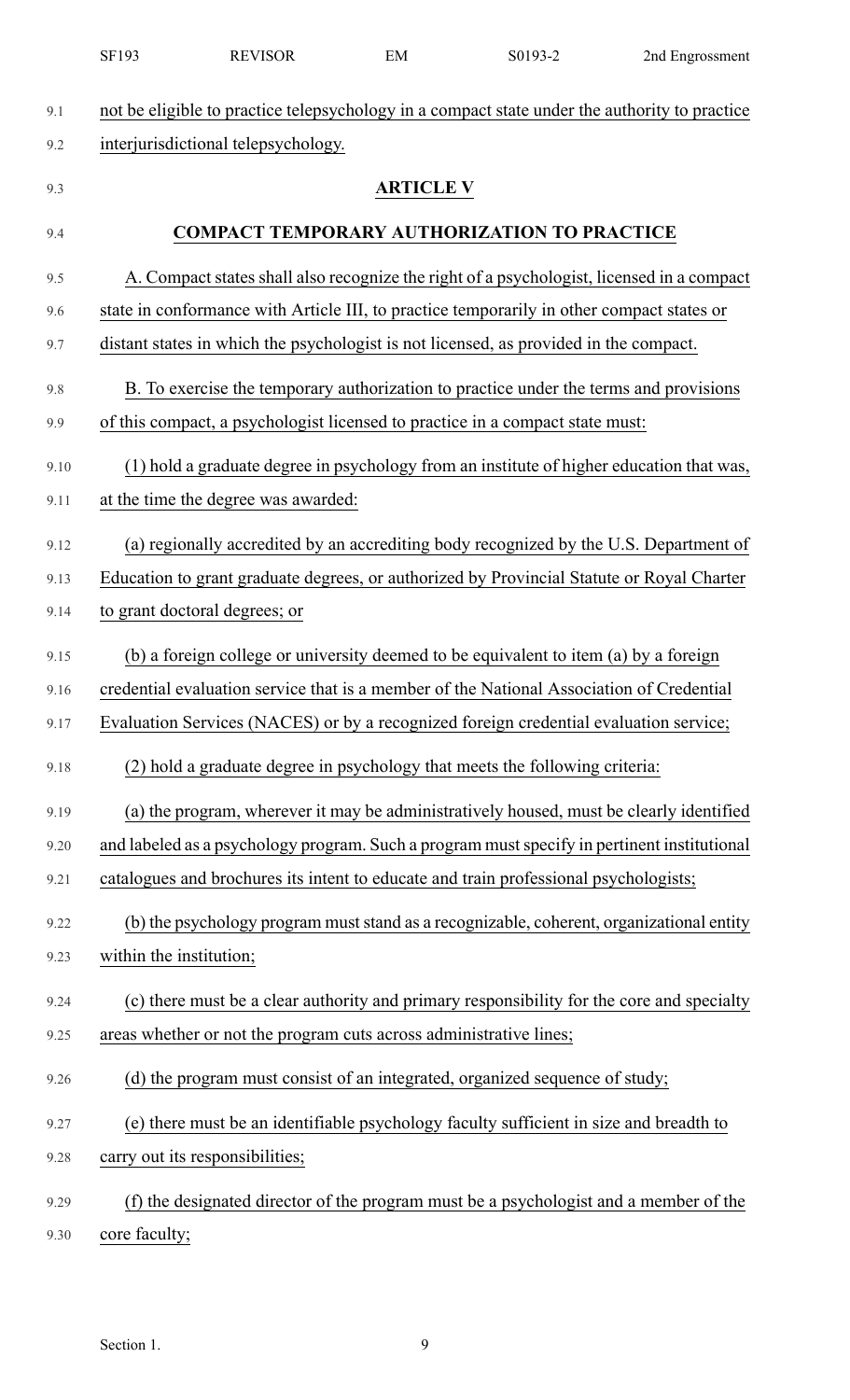|      | SF193                   | <b>REVISOR</b>                                                     | EM               | S0193-2                                                                                       | 2nd Engrossment |
|------|-------------------------|--------------------------------------------------------------------|------------------|-----------------------------------------------------------------------------------------------|-----------------|
| 9.1  |                         |                                                                    |                  | not be eligible to practice telepsychology in a compact state under the authority to practice |                 |
| 9.2  |                         | interjurisdictional telepsychology.                                |                  |                                                                                               |                 |
| 9.3  |                         |                                                                    | <b>ARTICLE V</b> |                                                                                               |                 |
| 9.4  |                         |                                                                    |                  | <b>COMPACT TEMPORARY AUTHORIZATION TO PRACTICE</b>                                            |                 |
|      |                         |                                                                    |                  |                                                                                               |                 |
| 9.5  |                         |                                                                    |                  | A. Compact states shall also recognize the right of a psychologist, licensed in a compact     |                 |
| 9.6  |                         |                                                                    |                  | state in conformance with Article III, to practice temporarily in other compact states or     |                 |
| 9.7  |                         |                                                                    |                  | distant states in which the psychologist is not licensed, as provided in the compact.         |                 |
| 9.8  |                         |                                                                    |                  | B. To exercise the temporary authorization to practice under the terms and provisions         |                 |
| 9.9  |                         |                                                                    |                  | of this compact, a psychologist licensed to practice in a compact state must:                 |                 |
| 9.10 |                         |                                                                    |                  | (1) hold a graduate degree in psychology from an institute of higher education that was,      |                 |
| 9.11 |                         | at the time the degree was awarded:                                |                  |                                                                                               |                 |
| 9.12 |                         |                                                                    |                  | (a) regionally accredited by an accrediting body recognized by the U.S. Department of         |                 |
| 9.13 |                         |                                                                    |                  | Education to grant graduate degrees, or authorized by Provincial Statute or Royal Charter     |                 |
| 9.14 |                         | to grant doctoral degrees; or                                      |                  |                                                                                               |                 |
| 9.15 |                         |                                                                    |                  | (b) a foreign college or university deemed to be equivalent to item (a) by a foreign          |                 |
| 9.16 |                         |                                                                    |                  | credential evaluation service that is a member of the National Association of Credential      |                 |
| 9.17 |                         |                                                                    |                  | Evaluation Services (NACES) or by a recognized foreign credential evaluation service;         |                 |
| 9.18 |                         |                                                                    |                  | (2) hold a graduate degree in psychology that meets the following criteria:                   |                 |
| 9.19 |                         |                                                                    |                  | (a) the program, wherever it may be administratively housed, must be clearly identified       |                 |
| 9.20 |                         |                                                                    |                  | and labeled as a psychology program. Such a program must specify in pertinent institutional   |                 |
| 9.21 |                         |                                                                    |                  | catalogues and brochures its intent to educate and train professional psychologists;          |                 |
| 9.22 |                         |                                                                    |                  | (b) the psychology program must stand as a recognizable, coherent, organizational entity      |                 |
| 9.23 | within the institution; |                                                                    |                  |                                                                                               |                 |
| 9.24 |                         |                                                                    |                  | (c) there must be a clear authority and primary responsibility for the core and specialty     |                 |
| 9.25 |                         | areas whether or not the program cuts across administrative lines; |                  |                                                                                               |                 |
| 9.26 |                         |                                                                    |                  | (d) the program must consist of an integrated, organized sequence of study;                   |                 |
| 9.27 |                         |                                                                    |                  | (e) there must be an identifiable psychology faculty sufficient in size and breadth to        |                 |
| 9.28 |                         | carry out its responsibilities;                                    |                  |                                                                                               |                 |
| 9.29 |                         |                                                                    |                  | (f) the designated director of the program must be a psychologist and a member of the         |                 |
| 9.30 | core faculty;           |                                                                    |                  |                                                                                               |                 |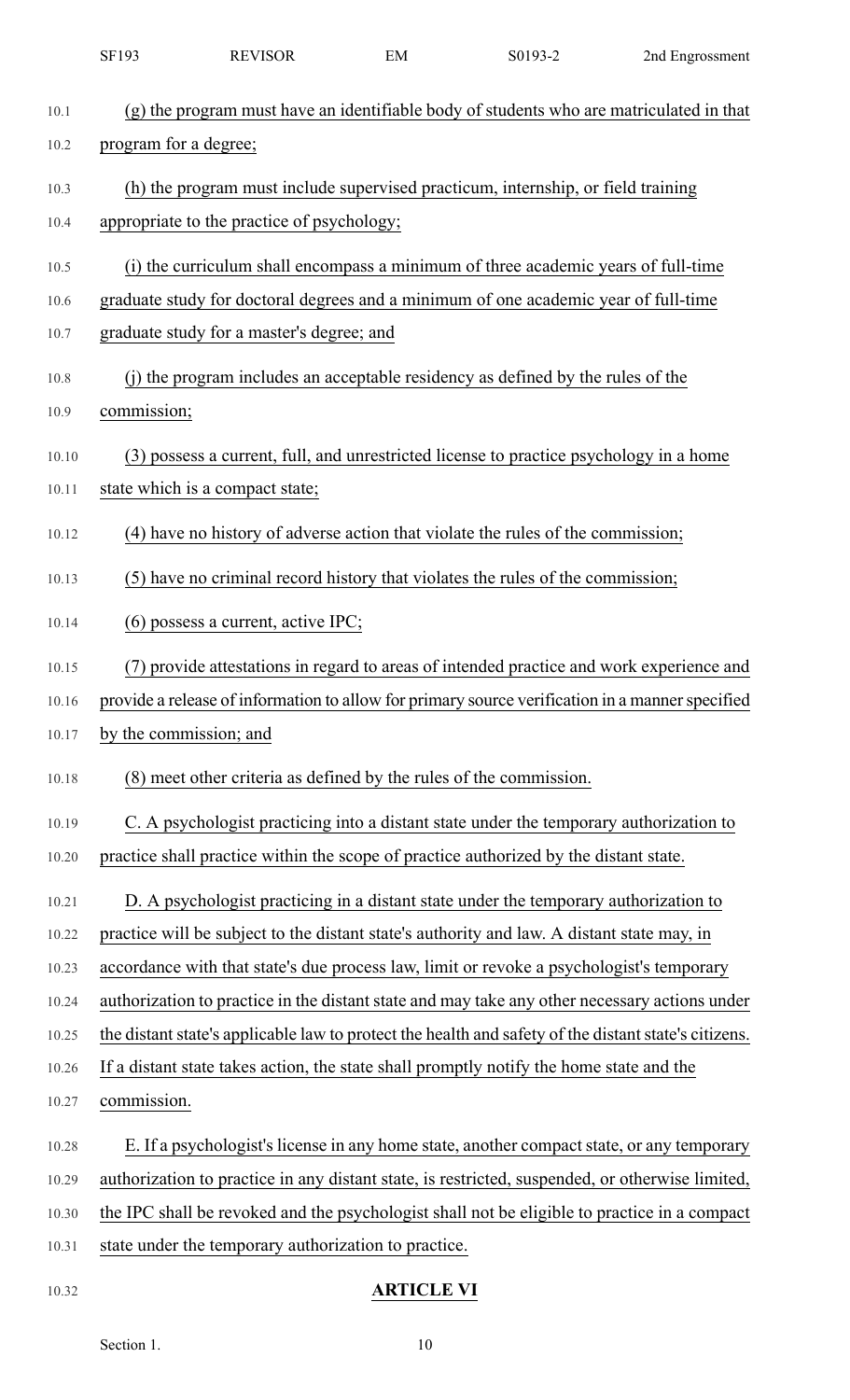|       | SF193                                | <b>REVISOR</b>                                                     | EM | S0193-2                                                                                              | 2nd Engrossment |
|-------|--------------------------------------|--------------------------------------------------------------------|----|------------------------------------------------------------------------------------------------------|-----------------|
| 10.1  |                                      |                                                                    |    | (g) the program must have an identifiable body of students who are matriculated in that              |                 |
| 10.2  | program for a degree;                |                                                                    |    |                                                                                                      |                 |
| 10.3  |                                      |                                                                    |    | (h) the program must include supervised practicum, internship, or field training                     |                 |
| 10.4  |                                      | appropriate to the practice of psychology;                         |    |                                                                                                      |                 |
| 10.5  |                                      |                                                                    |    | (i) the curriculum shall encompass a minimum of three academic years of full-time                    |                 |
| 10.6  |                                      |                                                                    |    | graduate study for doctoral degrees and a minimum of one academic year of full-time                  |                 |
| 10.7  |                                      | graduate study for a master's degree; and                          |    |                                                                                                      |                 |
| 10.8  |                                      |                                                                    |    | (j) the program includes an acceptable residency as defined by the rules of the                      |                 |
| 10.9  | commission;                          |                                                                    |    |                                                                                                      |                 |
| 10.10 |                                      |                                                                    |    | (3) possess a current, full, and unrestricted license to practice psychology in a home               |                 |
| 10.11 |                                      | state which is a compact state;                                    |    |                                                                                                      |                 |
| 10.12 |                                      |                                                                    |    | (4) have no history of adverse action that violate the rules of the commission;                      |                 |
| 10.13 |                                      |                                                                    |    | (5) have no criminal record history that violates the rules of the commission;                       |                 |
| 10.14 | $(6)$ possess a current, active IPC; |                                                                    |    |                                                                                                      |                 |
| 10.15 |                                      |                                                                    |    | (7) provide attestations in regard to areas of intended practice and work experience and             |                 |
| 10.16 |                                      |                                                                    |    | provide a release of information to allow for primary source verification in a manner specified      |                 |
| 10.17 |                                      | by the commission; and                                             |    |                                                                                                      |                 |
| 10.18 |                                      | (8) meet other criteria as defined by the rules of the commission. |    |                                                                                                      |                 |
| 10.19 |                                      |                                                                    |    | C. A psychologist practicing into a distant state under the temporary authorization to               |                 |
| 10.20 |                                      |                                                                    |    | practice shall practice within the scope of practice authorized by the distant state.                |                 |
| 10.21 |                                      |                                                                    |    | D. A psychologist practicing in a distant state under the temporary authorization to                 |                 |
| 10.22 |                                      |                                                                    |    | practice will be subject to the distant state's authority and law. A distant state may, in           |                 |
| 10.23 |                                      |                                                                    |    | accordance with that state's due process law, limit or revoke a psychologist's temporary             |                 |
| 10.24 |                                      |                                                                    |    | authorization to practice in the distant state and may take any other necessary actions under        |                 |
| 10.25 |                                      |                                                                    |    | the distant state's applicable law to protect the health and safety of the distant state's citizens. |                 |
| 10.26 |                                      |                                                                    |    | If a distant state takes action, the state shall promptly notify the home state and the              |                 |
| 10.27 | commission.                          |                                                                    |    |                                                                                                      |                 |
| 10.28 |                                      |                                                                    |    | E. If a psychologist's license in any home state, another compact state, or any temporary            |                 |
| 10.29 |                                      |                                                                    |    | authorization to practice in any distant state, is restricted, suspended, or otherwise limited,      |                 |
| 10.30 |                                      |                                                                    |    | the IPC shall be revoked and the psychologist shall not be eligible to practice in a compact         |                 |
| 10.31 |                                      | state under the temporary authorization to practice.               |    |                                                                                                      |                 |
|       |                                      |                                                                    |    |                                                                                                      |                 |

# 10.32 **ARTICLE VI**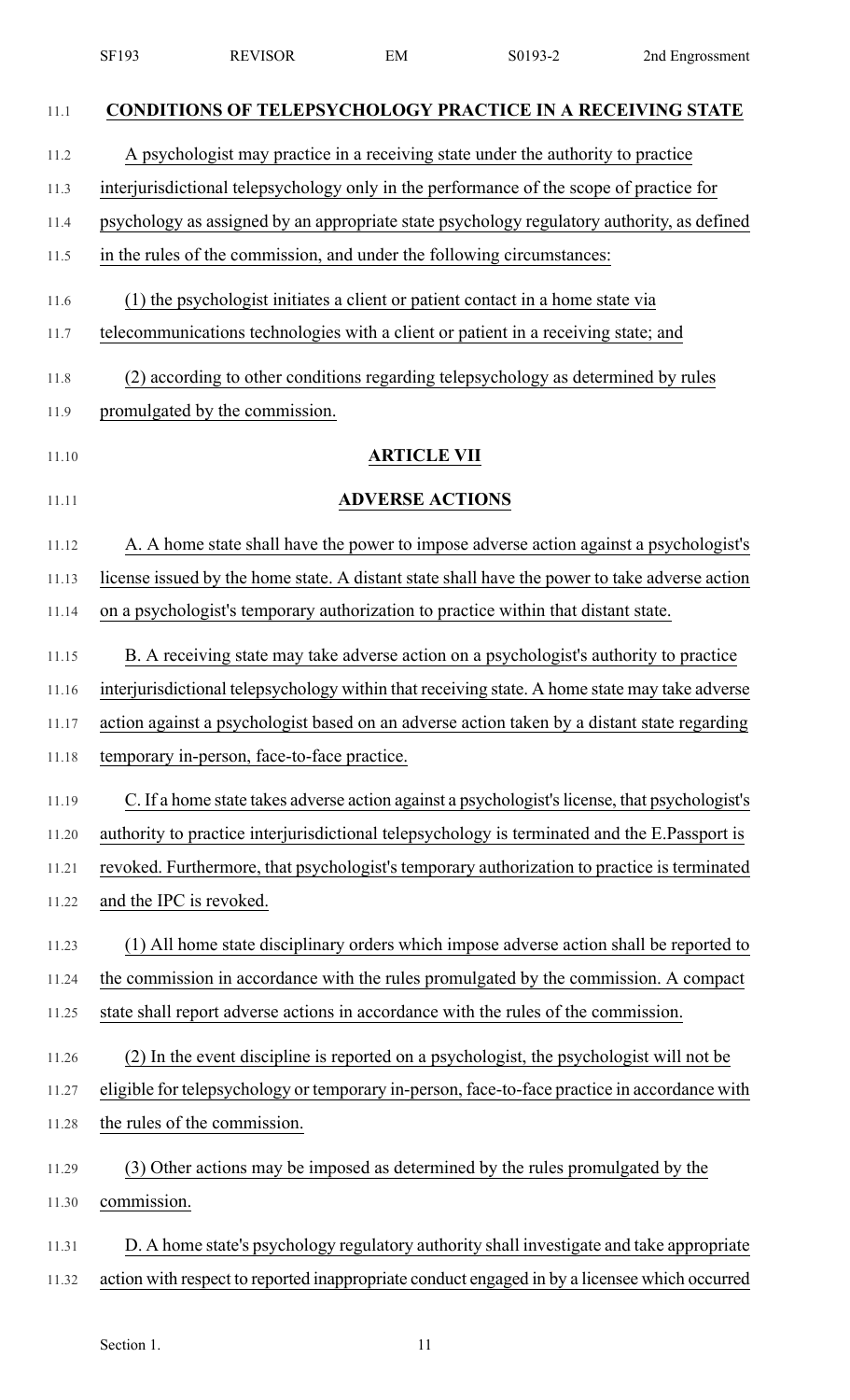|       | SF193                                                                                   | <b>REVISOR</b>                              | EM                     | S0193-2                                                                                       | 2nd Engrossment |  |  |
|-------|-----------------------------------------------------------------------------------------|---------------------------------------------|------------------------|-----------------------------------------------------------------------------------------------|-----------------|--|--|
| 11.1  |                                                                                         |                                             |                        | <b>CONDITIONS OF TELEPSYCHOLOGY PRACTICE IN A RECEIVING STATE</b>                             |                 |  |  |
| 11.2  |                                                                                         |                                             |                        | A psychologist may practice in a receiving state under the authority to practice              |                 |  |  |
| 11.3  | interjurisdictional telepsychology only in the performance of the scope of practice for |                                             |                        |                                                                                               |                 |  |  |
| 11.4  |                                                                                         |                                             |                        | psychology as assigned by an appropriate state psychology regulatory authority, as defined    |                 |  |  |
| 11.5  |                                                                                         |                                             |                        | in the rules of the commission, and under the following circumstances:                        |                 |  |  |
| 11.6  |                                                                                         |                                             |                        | (1) the psychologist initiates a client or patient contact in a home state via                |                 |  |  |
| 11.7  |                                                                                         |                                             |                        | telecommunications technologies with a client or patient in a receiving state; and            |                 |  |  |
| 11.8  |                                                                                         |                                             |                        | (2) according to other conditions regarding telepsychology as determined by rules             |                 |  |  |
| 11.9  |                                                                                         | promulgated by the commission.              |                        |                                                                                               |                 |  |  |
| 11.10 |                                                                                         |                                             | <b>ARTICLE VII</b>     |                                                                                               |                 |  |  |
| 11.11 |                                                                                         |                                             | <b>ADVERSE ACTIONS</b> |                                                                                               |                 |  |  |
| 11.12 |                                                                                         |                                             |                        | A. A home state shall have the power to impose adverse action against a psychologist's        |                 |  |  |
| 11.13 |                                                                                         |                                             |                        | license issued by the home state. A distant state shall have the power to take adverse action |                 |  |  |
| 11.14 |                                                                                         |                                             |                        | on a psychologist's temporary authorization to practice within that distant state.            |                 |  |  |
| 11.15 |                                                                                         |                                             |                        | B. A receiving state may take adverse action on a psychologist's authority to practice        |                 |  |  |
| 11.16 |                                                                                         |                                             |                        | interjurisdictional telepsychology within that receiving state. A home state may take adverse |                 |  |  |
| 11.17 |                                                                                         |                                             |                        | action against a psychologist based on an adverse action taken by a distant state regarding   |                 |  |  |
| 11.18 |                                                                                         | temporary in-person, face-to-face practice. |                        |                                                                                               |                 |  |  |
| 11.19 |                                                                                         |                                             |                        | C. If a home state takes adverse action against a psychologist's license, that psychologist's |                 |  |  |
| 11.20 |                                                                                         |                                             |                        | authority to practice interjurisdictional telepsychology is terminated and the E.Passport is  |                 |  |  |
| 11.21 |                                                                                         |                                             |                        | revoked. Furthermore, that psychologist's temporary authorization to practice is terminated   |                 |  |  |
| 11.22 | and the IPC is revoked.                                                                 |                                             |                        |                                                                                               |                 |  |  |
| 11.23 |                                                                                         |                                             |                        | (1) All home state disciplinary orders which impose adverse action shall be reported to       |                 |  |  |
| 11.24 |                                                                                         |                                             |                        | the commission in accordance with the rules promulgated by the commission. A compact          |                 |  |  |
| 11.25 |                                                                                         |                                             |                        | state shall report adverse actions in accordance with the rules of the commission.            |                 |  |  |
| 11.26 |                                                                                         |                                             |                        | (2) In the event discipline is reported on a psychologist, the psychologist will not be       |                 |  |  |
| 11.27 |                                                                                         |                                             |                        | eligible for telepsychology or temporary in-person, face-to-face practice in accordance with  |                 |  |  |
| 11.28 |                                                                                         | the rules of the commission.                |                        |                                                                                               |                 |  |  |
| 11.29 |                                                                                         |                                             |                        | (3) Other actions may be imposed as determined by the rules promulgated by the                |                 |  |  |
| 11.30 | commission.                                                                             |                                             |                        |                                                                                               |                 |  |  |
| 11.31 |                                                                                         |                                             |                        | D. A home state's psychology regulatory authority shall investigate and take appropriate      |                 |  |  |
| 11.32 |                                                                                         |                                             |                        | action with respect to reported inappropriate conduct engaged in by a licensee which occurred |                 |  |  |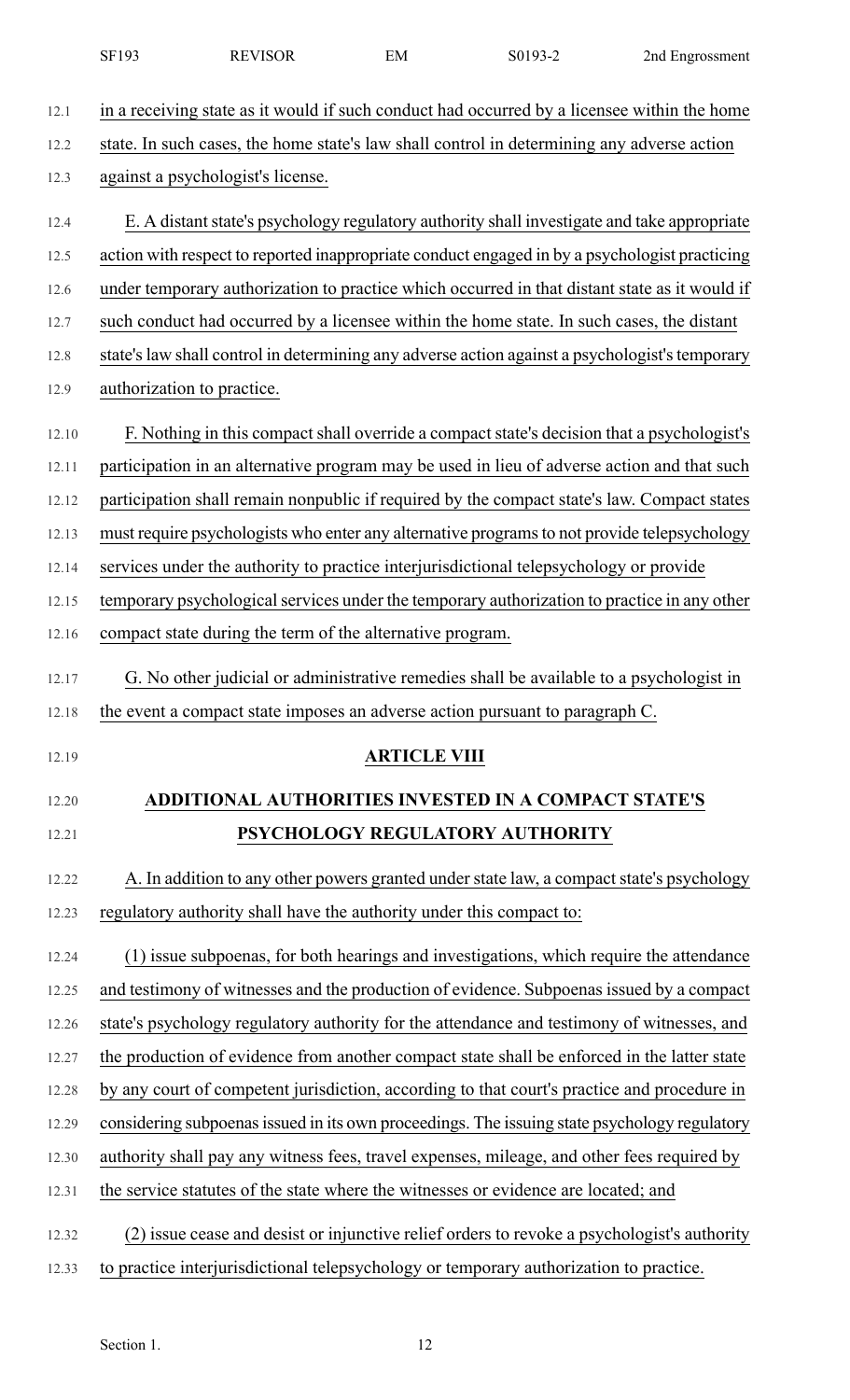|       | SF193 | <b>REVISOR</b>                                                       | EM                  | S0193-2                                                                                        | 2nd Engrossment |
|-------|-------|----------------------------------------------------------------------|---------------------|------------------------------------------------------------------------------------------------|-----------------|
| 12.1  |       |                                                                      |                     | in a receiving state as it would if such conduct had occurred by a licensee within the home    |                 |
| 12.2  |       |                                                                      |                     | state. In such cases, the home state's law shall control in determining any adverse action     |                 |
| 12.3  |       | against a psychologist's license.                                    |                     |                                                                                                |                 |
| 12.4  |       |                                                                      |                     | E. A distant state's psychology regulatory authority shall investigate and take appropriate    |                 |
| 12.5  |       |                                                                      |                     | action with respect to reported inappropriate conduct engaged in by a psychologist practicing  |                 |
| 12.6  |       |                                                                      |                     | under temporary authorization to practice which occurred in that distant state as it would if  |                 |
| 12.7  |       |                                                                      |                     | such conduct had occurred by a licensee within the home state. In such cases, the distant      |                 |
| 12.8  |       |                                                                      |                     | state's law shall control in determining any adverse action against a psychologist's temporary |                 |
| 12.9  |       | authorization to practice.                                           |                     |                                                                                                |                 |
| 12.10 |       |                                                                      |                     | F. Nothing in this compact shall override a compact state's decision that a psychologist's     |                 |
| 12.11 |       |                                                                      |                     | participation in an alternative program may be used in lieu of adverse action and that such    |                 |
| 12.12 |       |                                                                      |                     | participation shall remain nonpublic if required by the compact state's law. Compact states    |                 |
| 12.13 |       |                                                                      |                     | must require psychologists who enter any alternative programs to not provide telepsychology    |                 |
| 12.14 |       |                                                                      |                     | services under the authority to practice interjurisdictional telepsychology or provide         |                 |
| 12.15 |       |                                                                      |                     | temporary psychological services under the temporary authorization to practice in any other    |                 |
| 12.16 |       | compact state during the term of the alternative program.            |                     |                                                                                                |                 |
| 12.17 |       |                                                                      |                     | G. No other judicial or administrative remedies shall be available to a psychologist in        |                 |
| 12.18 |       |                                                                      |                     | the event a compact state imposes an adverse action pursuant to paragraph C.                   |                 |
| 12.19 |       |                                                                      | <b>ARTICLE VIII</b> |                                                                                                |                 |
| 12.20 |       |                                                                      |                     | ADDITIONAL AUTHORITIES INVESTED IN A COMPACT STATE'S                                           |                 |
| 12.21 |       |                                                                      |                     | PSYCHOLOGY REGULATORY AUTHORITY                                                                |                 |
| 12.22 |       |                                                                      |                     | A. In addition to any other powers granted under state law, a compact state's psychology       |                 |
| 12.23 |       | regulatory authority shall have the authority under this compact to: |                     |                                                                                                |                 |
| 12.24 |       |                                                                      |                     | (1) issue subpoenas, for both hearings and investigations, which require the attendance        |                 |
| 12.25 |       |                                                                      |                     | and testimony of witnesses and the production of evidence. Subpoenas issued by a compact       |                 |
| 12.26 |       |                                                                      |                     | state's psychology regulatory authority for the attendance and testimony of witnesses, and     |                 |
| 12.27 |       |                                                                      |                     | the production of evidence from another compact state shall be enforced in the latter state    |                 |
| 12.28 |       |                                                                      |                     | by any court of competent jurisdiction, according to that court's practice and procedure in    |                 |
| 12.29 |       |                                                                      |                     | considering subpoenas issued in its own proceedings. The issuing state psychology regulatory   |                 |
| 12.30 |       |                                                                      |                     | authority shall pay any witness fees, travel expenses, mileage, and other fees required by     |                 |
| 12.31 |       |                                                                      |                     | the service statutes of the state where the witnesses or evidence are located; and             |                 |
| 12.32 |       |                                                                      |                     | (2) issue cease and desist or injunctive relief orders to revoke a psychologist's authority    |                 |

12.33 to practice interjurisdictional telepsychology or temporary authorization to practice.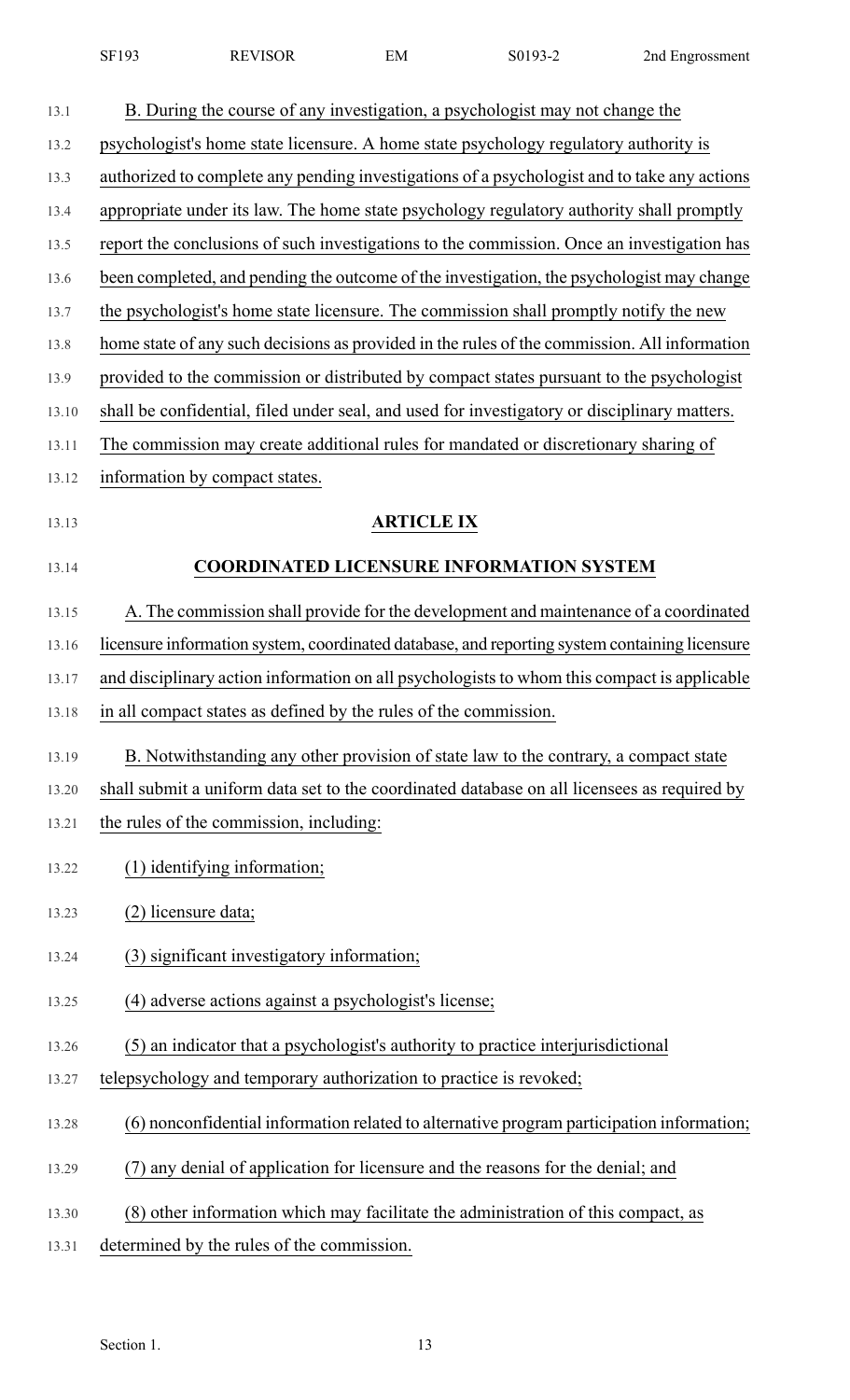| SF193<br><b>REVISOR</b> | $\sim$<br>EМ | 20102 C<br>301<br>-וי | 2nd Engrossment |
|-------------------------|--------------|-----------------------|-----------------|
|-------------------------|--------------|-----------------------|-----------------|

| 13.1  | B. During the course of any investigation, a psychologist may not change the                  |
|-------|-----------------------------------------------------------------------------------------------|
| 13.2  | psychologist's home state licensure. A home state psychology regulatory authority is          |
| 13.3  | authorized to complete any pending investigations of a psychologist and to take any actions   |
| 13.4  | appropriate under its law. The home state psychology regulatory authority shall promptly      |
| 13.5  | report the conclusions of such investigations to the commission. Once an investigation has    |
| 13.6  | been completed, and pending the outcome of the investigation, the psychologist may change     |
| 13.7  | the psychologist's home state licensure. The commission shall promptly notify the new         |
| 13.8  | home state of any such decisions as provided in the rules of the commission. All information  |
| 13.9  | provided to the commission or distributed by compact states pursuant to the psychologist      |
| 13.10 | shall be confidential, filed under seal, and used for investigatory or disciplinary matters.  |
| 13.11 | The commission may create additional rules for mandated or discretionary sharing of           |
| 13.12 | information by compact states.                                                                |
| 13.13 | <b>ARTICLE IX</b>                                                                             |
| 13.14 | <b>COORDINATED LICENSURE INFORMATION SYSTEM</b>                                               |
|       |                                                                                               |
| 13.15 | A. The commission shall provide for the development and maintenance of a coordinated          |
| 13.16 | licensure information system, coordinated database, and reporting system containing licensure |
| 13.17 | and disciplinary action information on all psychologists to whom this compact is applicable   |
| 13.18 | in all compact states as defined by the rules of the commission.                              |
| 13.19 | B. Notwithstanding any other provision of state law to the contrary, a compact state          |
| 13.20 | shall submit a uniform data set to the coordinated database on all licensees as required by   |
| 13.21 | the rules of the commission, including:                                                       |
| 13.22 | (1) identifying information;                                                                  |
| 13.23 | (2) licensure data;                                                                           |
| 13.24 | (3) significant investigatory information;                                                    |
| 13.25 | (4) adverse actions against a psychologist's license;                                         |
| 13.26 | (5) an indicator that a psychologist's authority to practice interjurisdictional              |
| 13.27 | telepsychology and temporary authorization to practice is revoked;                            |
| 13.28 | (6) nonconfidential information related to alternative program participation information;     |
| 13.29 | any denial of application for licensure and the reasons for the denial; and                   |
| 13.30 | (8) other information which may facilitate the administration of this compact, as             |
| 13.31 | determined by the rules of the commission.                                                    |
|       |                                                                                               |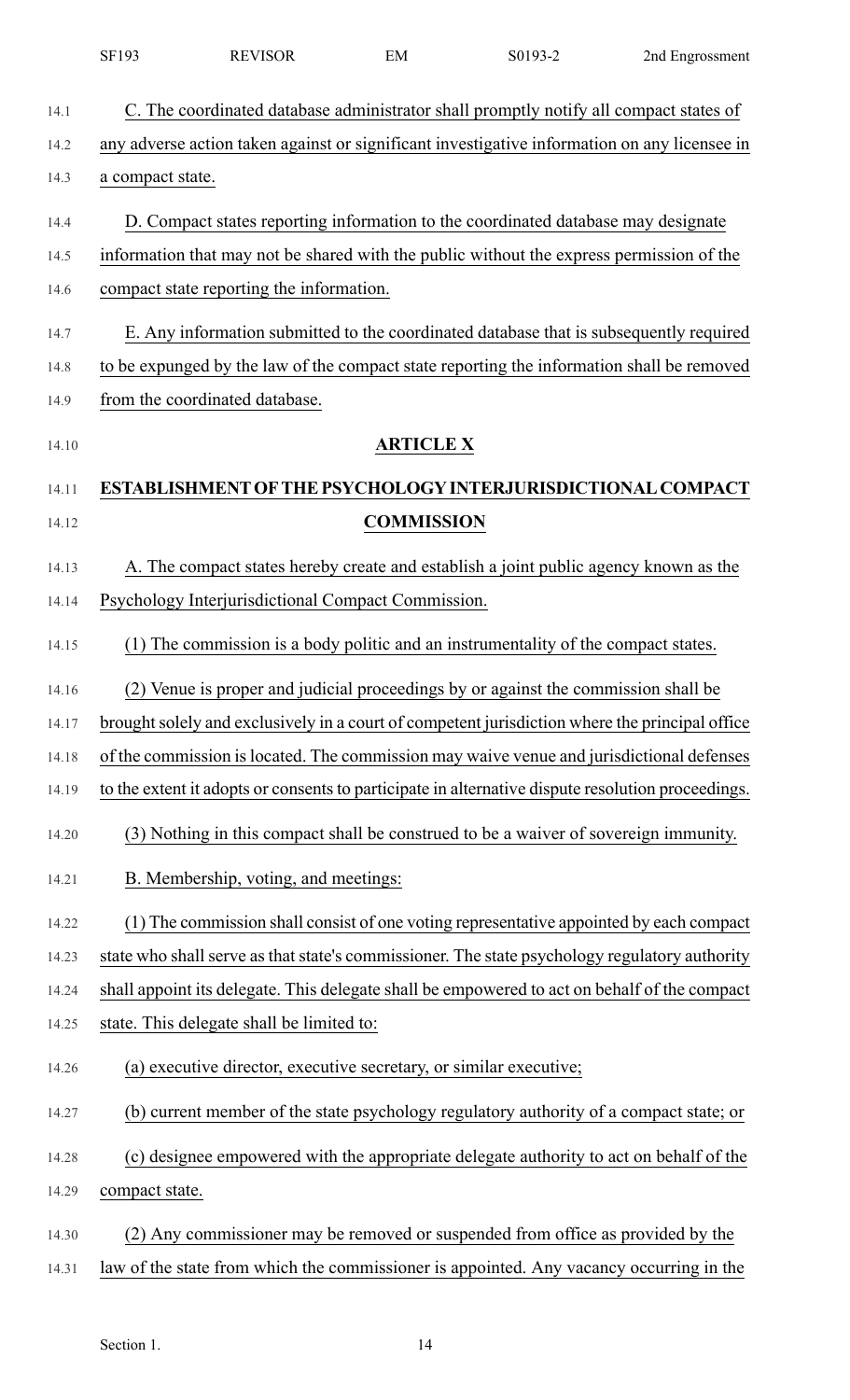|       | SF193            | <b>REVISOR</b>                                                                                    | EM                | S0193-2 | 2nd Engrossment |
|-------|------------------|---------------------------------------------------------------------------------------------------|-------------------|---------|-----------------|
| 14.1  |                  | C. The coordinated database administrator shall promptly notify all compact states of             |                   |         |                 |
| 14.2  |                  | any adverse action taken against or significant investigative information on any licensee in      |                   |         |                 |
| 14.3  | a compact state. |                                                                                                   |                   |         |                 |
| 14.4  |                  | D. Compact states reporting information to the coordinated database may designate                 |                   |         |                 |
| 14.5  |                  | information that may not be shared with the public without the express permission of the          |                   |         |                 |
| 14.6  |                  | compact state reporting the information.                                                          |                   |         |                 |
| 14.7  |                  | E. Any information submitted to the coordinated database that is subsequently required            |                   |         |                 |
| 14.8  |                  | to be expunged by the law of the compact state reporting the information shall be removed         |                   |         |                 |
|       |                  |                                                                                                   |                   |         |                 |
| 14.9  |                  | from the coordinated database.                                                                    |                   |         |                 |
| 14.10 |                  |                                                                                                   | <b>ARTICLE X</b>  |         |                 |
| 14.11 |                  | ESTABLISHMENT OF THE PSYCHOLOGY INTERJURISDICTIONAL COMPACT                                       |                   |         |                 |
| 14.12 |                  |                                                                                                   | <b>COMMISSION</b> |         |                 |
| 14.13 |                  | A. The compact states hereby create and establish a joint public agency known as the              |                   |         |                 |
| 14.14 |                  | Psychology Interjurisdictional Compact Commission.                                                |                   |         |                 |
| 14.15 |                  | The commission is a body politic and an instrumentality of the compact states.                    |                   |         |                 |
| 14.16 |                  | (2) Venue is proper and judicial proceedings by or against the commission shall be                |                   |         |                 |
| 14.17 |                  | brought solely and exclusively in a court of competent jurisdiction where the principal office    |                   |         |                 |
| 14.18 |                  | of the commission is located. The commission may waive venue and jurisdictional defenses          |                   |         |                 |
| 14.19 |                  | to the extent it adopts or consents to participate in alternative dispute resolution proceedings. |                   |         |                 |
| 14.20 |                  | (3) Nothing in this compact shall be construed to be a waiver of sovereign immunity.              |                   |         |                 |
| 14.21 |                  | B. Membership, voting, and meetings:                                                              |                   |         |                 |
| 14.22 |                  | (1) The commission shall consist of one voting representative appointed by each compact           |                   |         |                 |
| 14.23 |                  | state who shall serve as that state's commissioner. The state psychology regulatory authority     |                   |         |                 |
| 14.24 |                  | shall appoint its delegate. This delegate shall be empowered to act on behalf of the compact      |                   |         |                 |
| 14.25 |                  | state. This delegate shall be limited to:                                                         |                   |         |                 |
| 14.26 |                  | (a) executive director, executive secretary, or similar executive;                                |                   |         |                 |
| 14.27 |                  | (b) current member of the state psychology regulatory authority of a compact state; or            |                   |         |                 |
| 14.28 |                  | (c) designee empowered with the appropriate delegate authority to act on behalf of the            |                   |         |                 |
| 14.29 | compact state.   |                                                                                                   |                   |         |                 |
| 14.30 |                  | (2) Any commissioner may be removed or suspended from office as provided by the                   |                   |         |                 |
| 14.31 |                  | law of the state from which the commissioner is appointed. Any vacancy occurring in the           |                   |         |                 |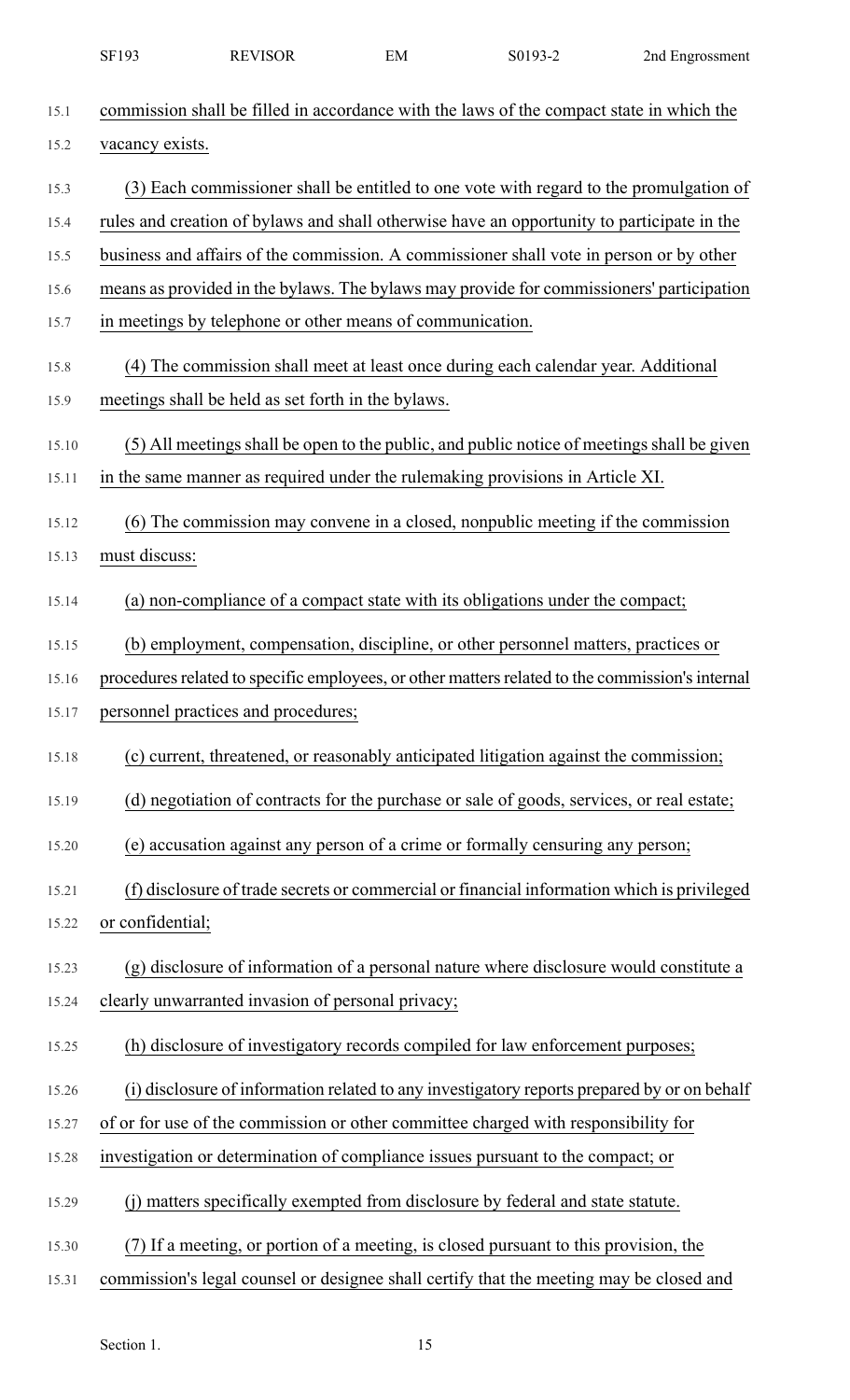|       | SF193            | <b>REVISOR</b>                                            | EM | S0193-2                                                                                    | 2nd Engrossment                                                                                 |
|-------|------------------|-----------------------------------------------------------|----|--------------------------------------------------------------------------------------------|-------------------------------------------------------------------------------------------------|
| 15.1  |                  |                                                           |    | commission shall be filled in accordance with the laws of the compact state in which the   |                                                                                                 |
| 15.2  | vacancy exists.  |                                                           |    |                                                                                            |                                                                                                 |
| 15.3  |                  |                                                           |    |                                                                                            | (3) Each commissioner shall be entitled to one vote with regard to the promulgation of          |
| 15.4  |                  |                                                           |    | rules and creation of bylaws and shall otherwise have an opportunity to participate in the |                                                                                                 |
| 15.5  |                  |                                                           |    | business and affairs of the commission. A commissioner shall vote in person or by other    |                                                                                                 |
| 15.6  |                  |                                                           |    |                                                                                            | means as provided in the bylaws. The bylaws may provide for commissioners' participation        |
| 15.7  |                  | in meetings by telephone or other means of communication. |    |                                                                                            |                                                                                                 |
| 15.8  |                  |                                                           |    | (4) The commission shall meet at least once during each calendar year. Additional          |                                                                                                 |
| 15.9  |                  | meetings shall be held as set forth in the bylaws.        |    |                                                                                            |                                                                                                 |
| 15.10 |                  |                                                           |    |                                                                                            | (5) All meetings shall be open to the public, and public notice of meetings shall be given      |
| 15.11 |                  |                                                           |    | in the same manner as required under the rulemaking provisions in Article XI.              |                                                                                                 |
| 15.12 |                  |                                                           |    | (6) The commission may convene in a closed, nonpublic meeting if the commission            |                                                                                                 |
| 15.13 | must discuss:    |                                                           |    |                                                                                            |                                                                                                 |
| 15.14 |                  |                                                           |    | (a) non-compliance of a compact state with its obligations under the compact;              |                                                                                                 |
| 15.15 |                  |                                                           |    | (b) employment, compensation, discipline, or other personnel matters, practices or         |                                                                                                 |
| 15.16 |                  |                                                           |    |                                                                                            | procedures related to specific employees, or other matters related to the commission's internal |
| 15.17 |                  | personnel practices and procedures;                       |    |                                                                                            |                                                                                                 |
| 15.18 |                  |                                                           |    | (c) current, threatened, or reasonably anticipated litigation against the commission;      |                                                                                                 |
| 15.19 |                  |                                                           |    | (d) negotiation of contracts for the purchase or sale of goods, services, or real estate;  |                                                                                                 |
| 15.20 |                  |                                                           |    | (e) accusation against any person of a crime or formally censuring any person;             |                                                                                                 |
| 15.21 |                  |                                                           |    |                                                                                            | (f) disclosure of trade secrets or commercial or financial information which is privileged      |
| 15.22 | or confidential; |                                                           |    |                                                                                            |                                                                                                 |
| 15.23 |                  |                                                           |    |                                                                                            | (g) disclosure of information of a personal nature where disclosure would constitute a          |
| 15.24 |                  | clearly unwarranted invasion of personal privacy;         |    |                                                                                            |                                                                                                 |
| 15.25 |                  |                                                           |    | (h) disclosure of investigatory records compiled for law enforcement purposes;             |                                                                                                 |
| 15.26 |                  |                                                           |    |                                                                                            | (i) disclosure of information related to any investigatory reports prepared by or on behalf     |
| 15.27 |                  |                                                           |    | of or for use of the commission or other committee charged with responsibility for         |                                                                                                 |
| 15.28 |                  |                                                           |    | investigation or determination of compliance issues pursuant to the compact; or            |                                                                                                 |
| 15.29 |                  |                                                           |    | (i) matters specifically exempted from disclosure by federal and state statute.            |                                                                                                 |
| 15.30 |                  |                                                           |    | (7) If a meeting, or portion of a meeting, is closed pursuant to this provision, the       |                                                                                                 |
| 15.31 |                  |                                                           |    | commission's legal counsel or designee shall certify that the meeting may be closed and    |                                                                                                 |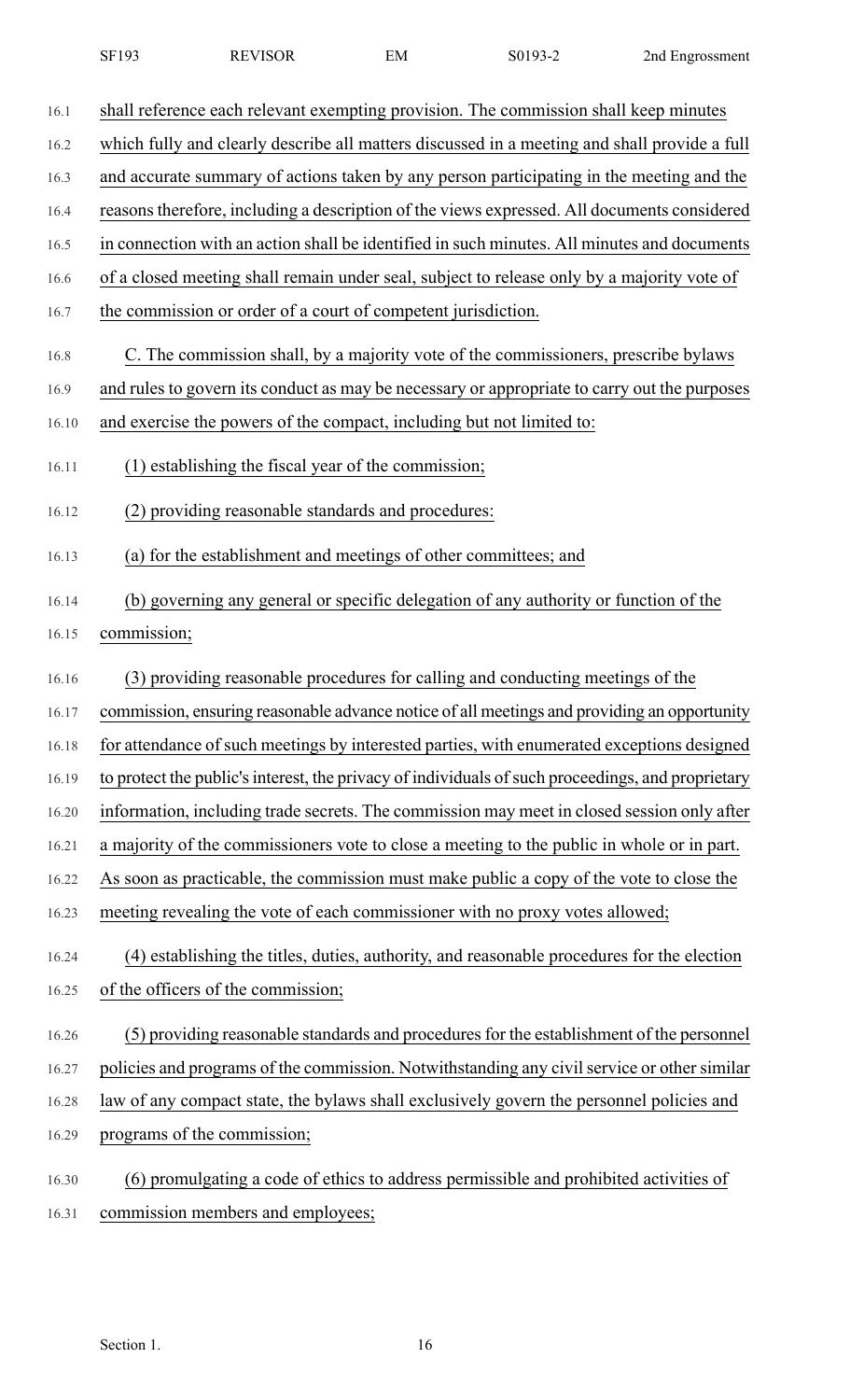| SF193 | <b>REVISOR</b> | EМ | S0193-2 | 2nd Engrossment |
|-------|----------------|----|---------|-----------------|
|-------|----------------|----|---------|-----------------|

| 16.1  | shall reference each relevant exempting provision. The commission shall keep minutes              |
|-------|---------------------------------------------------------------------------------------------------|
| 16.2  | which fully and clearly describe all matters discussed in a meeting and shall provide a full      |
| 16.3  | and accurate summary of actions taken by any person participating in the meeting and the          |
| 16.4  | reasons therefore, including a description of the views expressed. All documents considered       |
| 16.5  | in connection with an action shall be identified in such minutes. All minutes and documents       |
| 16.6  | of a closed meeting shall remain under seal, subject to release only by a majority vote of        |
| 16.7  | the commission or order of a court of competent jurisdiction.                                     |
| 16.8  | C. The commission shall, by a majority vote of the commissioners, prescribe bylaws                |
| 16.9  | and rules to govern its conduct as may be necessary or appropriate to carry out the purposes      |
| 16.10 | and exercise the powers of the compact, including but not limited to:                             |
| 16.11 | (1) establishing the fiscal year of the commission;                                               |
| 16.12 | (2) providing reasonable standards and procedures:                                                |
| 16.13 | (a) for the establishment and meetings of other committees; and                                   |
| 16.14 | (b) governing any general or specific delegation of any authority or function of the              |
| 16.15 | commission;                                                                                       |
| 16.16 | (3) providing reasonable procedures for calling and conducting meetings of the                    |
| 16.17 | commission, ensuring reasonable advance notice of all meetings and providing an opportunity       |
| 16.18 | for attendance of such meetings by interested parties, with enumerated exceptions designed        |
| 16.19 | to protect the public's interest, the privacy of individuals of such proceedings, and proprietary |
| 16.20 | information, including trade secrets. The commission may meet in closed session only after        |
| 16.21 | a majority of the commissioners vote to close a meeting to the public in whole or in part.        |
| 16.22 | As soon as practicable, the commission must make public a copy of the vote to close the           |
| 16.23 | meeting revealing the vote of each commissioner with no proxy votes allowed;                      |
| 16.24 | (4) establishing the titles, duties, authority, and reasonable procedures for the election        |
| 16.25 | of the officers of the commission;                                                                |
| 16.26 | (5) providing reasonable standards and procedures for the establishment of the personnel          |
| 16.27 | policies and programs of the commission. Notwithstanding any civil service or other similar       |
| 16.28 | law of any compact state, the bylaws shall exclusively govern the personnel policies and          |
| 16.29 | programs of the commission;                                                                       |
| 16.30 | (6) promulgating a code of ethics to address permissible and prohibited activities of             |
| 16.31 | commission members and employees;                                                                 |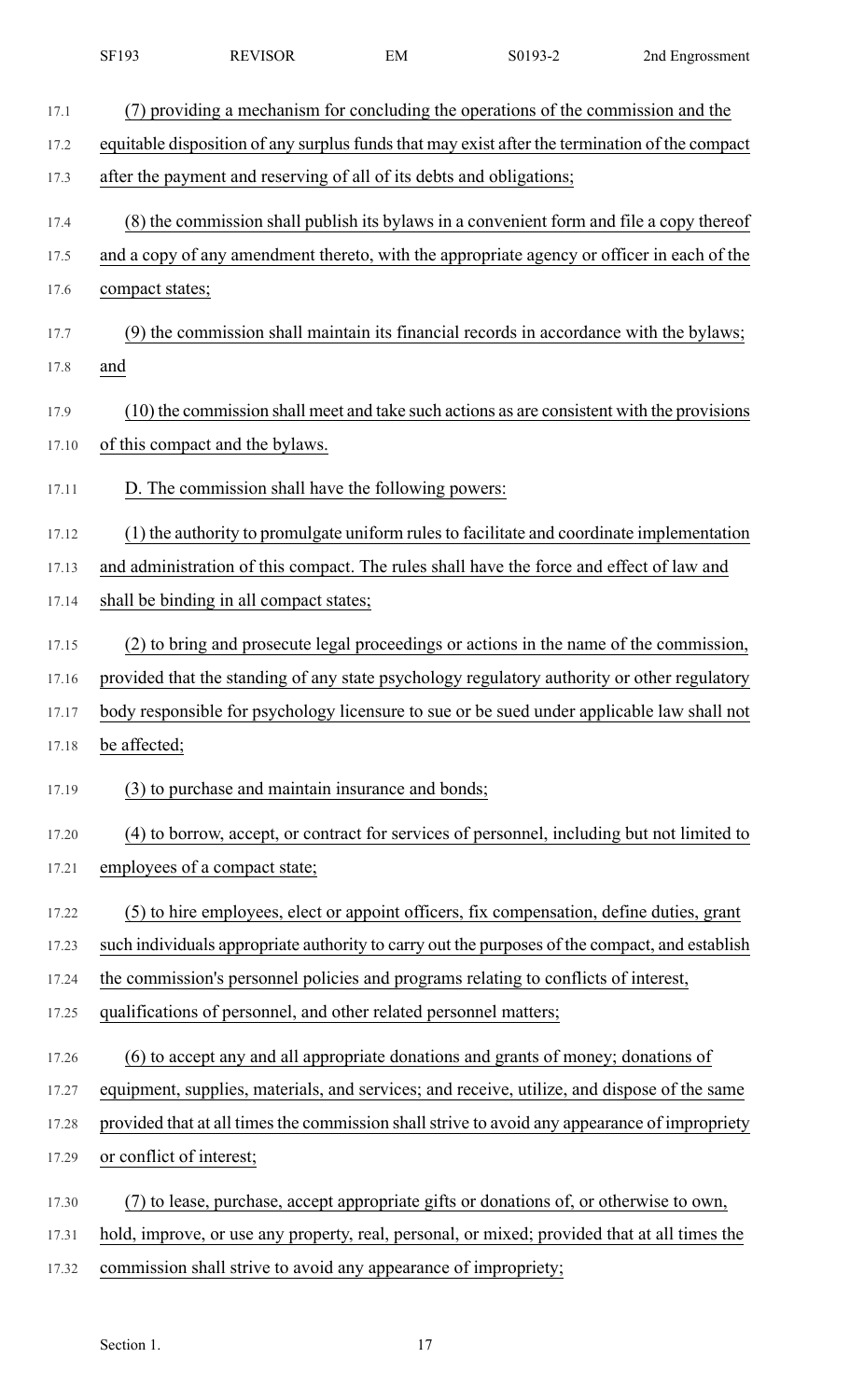|       | SF193                                                                | <b>REVISOR</b> | EM                                                 | S0193-2                                                                                        | 2nd Engrossment |
|-------|----------------------------------------------------------------------|----------------|----------------------------------------------------|------------------------------------------------------------------------------------------------|-----------------|
| 17.1  |                                                                      |                |                                                    | (7) providing a mechanism for concluding the operations of the commission and the              |                 |
| 17.2  |                                                                      |                |                                                    | equitable disposition of any surplus funds that may exist after the termination of the compact |                 |
| 17.3  | after the payment and reserving of all of its debts and obligations; |                |                                                    |                                                                                                |                 |
| 17.4  |                                                                      |                |                                                    | (8) the commission shall publish its bylaws in a convenient form and file a copy thereof       |                 |
| 17.5  |                                                                      |                |                                                    | and a copy of any amendment thereto, with the appropriate agency or officer in each of the     |                 |
| 17.6  | compact states;                                                      |                |                                                    |                                                                                                |                 |
| 17.7  |                                                                      |                |                                                    | (9) the commission shall maintain its financial records in accordance with the bylaws;         |                 |
| 17.8  | and                                                                  |                |                                                    |                                                                                                |                 |
| 17.9  |                                                                      |                |                                                    | (10) the commission shall meet and take such actions as are consistent with the provisions     |                 |
| 17.10 | of this compact and the bylaws.                                      |                |                                                    |                                                                                                |                 |
| 17.11 |                                                                      |                | D. The commission shall have the following powers: |                                                                                                |                 |
| 17.12 |                                                                      |                |                                                    | (1) the authority to promulgate uniform rules to facilitate and coordinate implementation      |                 |
| 17.13 |                                                                      |                |                                                    | and administration of this compact. The rules shall have the force and effect of law and       |                 |
| 17.14 | shall be binding in all compact states;                              |                |                                                    |                                                                                                |                 |
| 17.15 |                                                                      |                |                                                    | (2) to bring and prosecute legal proceedings or actions in the name of the commission,         |                 |
| 17.16 |                                                                      |                |                                                    | provided that the standing of any state psychology regulatory authority or other regulatory    |                 |
| 17.17 |                                                                      |                |                                                    | body responsible for psychology licensure to sue or be sued under applicable law shall not     |                 |
| 17.18 | be affected;                                                         |                |                                                    |                                                                                                |                 |
| 17.19 |                                                                      |                | (3) to purchase and maintain insurance and bonds;  |                                                                                                |                 |
| 17.20 |                                                                      |                |                                                    | (4) to borrow, accept, or contract for services of personnel, including but not limited to     |                 |
| 17.21 | employees of a compact state;                                        |                |                                                    |                                                                                                |                 |
| 17.22 |                                                                      |                |                                                    | (5) to hire employees, elect or appoint officers, fix compensation, define duties, grant       |                 |
| 17.23 |                                                                      |                |                                                    | such individuals appropriate authority to carry out the purposes of the compact, and establish |                 |
| 17.24 |                                                                      |                |                                                    | the commission's personnel policies and programs relating to conflicts of interest,            |                 |
| 17.25 | qualifications of personnel, and other related personnel matters;    |                |                                                    |                                                                                                |                 |
| 17.26 |                                                                      |                |                                                    | (6) to accept any and all appropriate donations and grants of money; donations of              |                 |
| 17.27 |                                                                      |                |                                                    | equipment, supplies, materials, and services; and receive, utilize, and dispose of the same    |                 |
| 17.28 |                                                                      |                |                                                    | provided that at all times the commission shall strive to avoid any appearance of impropriety  |                 |
| 17.29 | or conflict of interest;                                             |                |                                                    |                                                                                                |                 |
| 17.30 |                                                                      |                |                                                    | (7) to lease, purchase, accept appropriate gifts or donations of, or otherwise to own,         |                 |
| 17.31 |                                                                      |                |                                                    | hold, improve, or use any property, real, personal, or mixed; provided that at all times the   |                 |
| 17.32 | commission shall strive to avoid any appearance of impropriety;      |                |                                                    |                                                                                                |                 |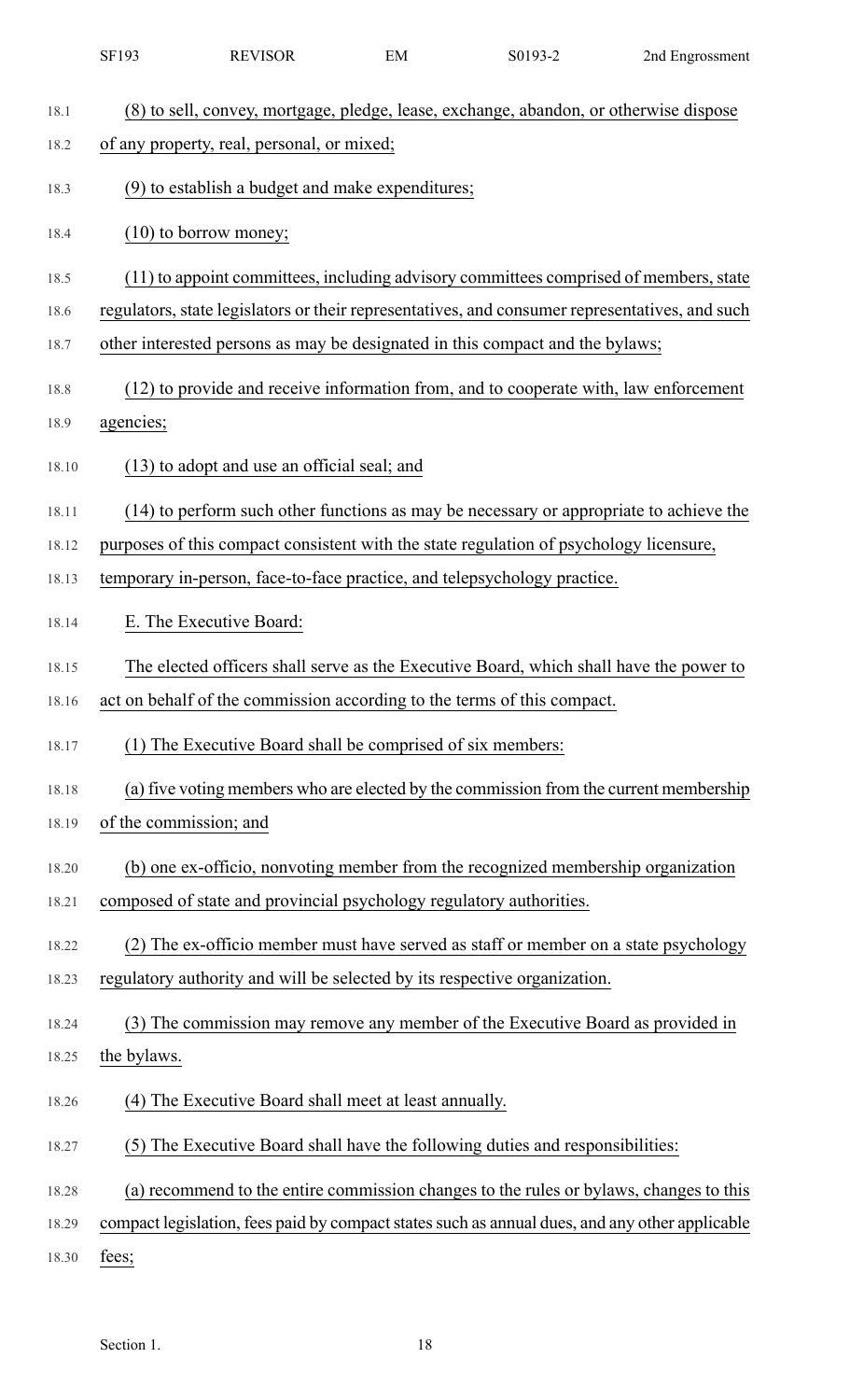|       | SF193                  | <b>REVISOR</b>                                                      | EM | S0193-2                                                                                        | 2nd Engrossment |
|-------|------------------------|---------------------------------------------------------------------|----|------------------------------------------------------------------------------------------------|-----------------|
| 18.1  |                        |                                                                     |    | (8) to sell, convey, mortgage, pledge, lease, exchange, abandon, or otherwise dispose          |                 |
| 18.2  |                        | of any property, real, personal, or mixed;                          |    |                                                                                                |                 |
| 18.3  |                        | (9) to establish a budget and make expenditures;                    |    |                                                                                                |                 |
| 18.4  |                        | $(10)$ to borrow money;                                             |    |                                                                                                |                 |
| 18.5  |                        |                                                                     |    | (11) to appoint committees, including advisory committees comprised of members, state          |                 |
| 18.6  |                        |                                                                     |    | regulators, state legislators or their representatives, and consumer representatives, and such |                 |
| 18.7  |                        |                                                                     |    | other interested persons as may be designated in this compact and the bylaws;                  |                 |
| 18.8  |                        |                                                                     |    | (12) to provide and receive information from, and to cooperate with, law enforcement           |                 |
| 18.9  | agencies;              |                                                                     |    |                                                                                                |                 |
| 18.10 |                        | (13) to adopt and use an official seal; and                         |    |                                                                                                |                 |
| 18.11 |                        |                                                                     |    | (14) to perform such other functions as may be necessary or appropriate to achieve the         |                 |
| 18.12 |                        |                                                                     |    | purposes of this compact consistent with the state regulation of psychology licensure,         |                 |
| 18.13 |                        |                                                                     |    | temporary in-person, face-to-face practice, and telepsychology practice.                       |                 |
| 18.14 |                        | E. The Executive Board:                                             |    |                                                                                                |                 |
| 18.15 |                        |                                                                     |    | The elected officers shall serve as the Executive Board, which shall have the power to         |                 |
| 18.16 |                        |                                                                     |    | act on behalf of the commission according to the terms of this compact.                        |                 |
| 18.17 |                        | (1) The Executive Board shall be comprised of six members:          |    |                                                                                                |                 |
| 18.18 |                        |                                                                     |    | (a) five voting members who are elected by the commission from the current membership          |                 |
| 18.19 | of the commission; and |                                                                     |    |                                                                                                |                 |
| 18.20 |                        |                                                                     |    | (b) one ex-officio, nonvoting member from the recognized membership organization               |                 |
| 18.21 |                        | composed of state and provincial psychology regulatory authorities. |    |                                                                                                |                 |
| 18.22 |                        |                                                                     |    | (2) The ex-officio member must have served as staff or member on a state psychology            |                 |
| 18.23 |                        |                                                                     |    | regulatory authority and will be selected by its respective organization.                      |                 |
| 18.24 |                        |                                                                     |    | (3) The commission may remove any member of the Executive Board as provided in                 |                 |
| 18.25 | the bylaws.            |                                                                     |    |                                                                                                |                 |
| 18.26 | (4)                    | The Executive Board shall meet at least annually.                   |    |                                                                                                |                 |
| 18.27 |                        |                                                                     |    | (5) The Executive Board shall have the following duties and responsibilities:                  |                 |
| 18.28 |                        |                                                                     |    | (a) recommend to the entire commission changes to the rules or bylaws, changes to this         |                 |
| 18.29 |                        |                                                                     |    | compact legislation, fees paid by compact states such as annual dues, and any other applicable |                 |
| 18.30 | fees;                  |                                                                     |    |                                                                                                |                 |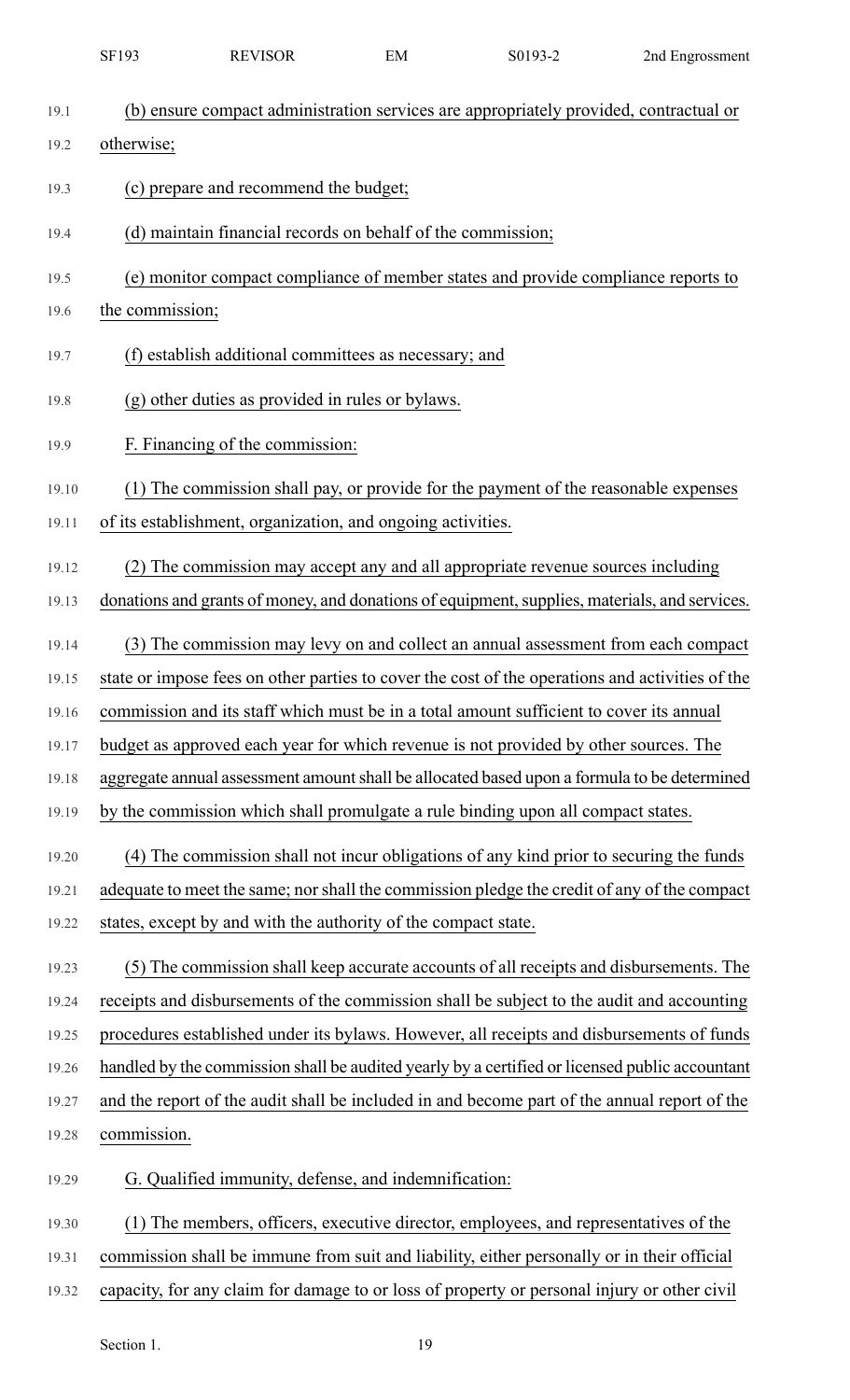|       | SF193           | <b>REVISOR</b>                                                 | EM | S0193-2                                                                                         | 2nd Engrossment |
|-------|-----------------|----------------------------------------------------------------|----|-------------------------------------------------------------------------------------------------|-----------------|
| 19.1  |                 |                                                                |    | (b) ensure compact administration services are appropriately provided, contractual or           |                 |
| 19.2  | otherwise;      |                                                                |    |                                                                                                 |                 |
| 19.3  |                 | (c) prepare and recommend the budget;                          |    |                                                                                                 |                 |
| 19.4  |                 | (d) maintain financial records on behalf of the commission;    |    |                                                                                                 |                 |
| 19.5  |                 |                                                                |    | (e) monitor compact compliance of member states and provide compliance reports to               |                 |
| 19.6  | the commission; |                                                                |    |                                                                                                 |                 |
| 19.7  |                 | (f) establish additional committees as necessary; and          |    |                                                                                                 |                 |
| 19.8  |                 | (g) other duties as provided in rules or bylaws.               |    |                                                                                                 |                 |
| 19.9  |                 | F. Financing of the commission:                                |    |                                                                                                 |                 |
| 19.10 |                 |                                                                |    | (1) The commission shall pay, or provide for the payment of the reasonable expenses             |                 |
| 19.11 |                 | of its establishment, organization, and ongoing activities.    |    |                                                                                                 |                 |
| 19.12 |                 |                                                                |    | (2) The commission may accept any and all appropriate revenue sources including                 |                 |
| 19.13 |                 |                                                                |    | donations and grants of money, and donations of equipment, supplies, materials, and services.   |                 |
| 19.14 |                 |                                                                |    | (3) The commission may levy on and collect an annual assessment from each compact               |                 |
| 19.15 |                 |                                                                |    | state or impose fees on other parties to cover the cost of the operations and activities of the |                 |
| 19.16 |                 |                                                                |    | commission and its staff which must be in a total amount sufficient to cover its annual         |                 |
| 19.17 |                 |                                                                |    | budget as approved each year for which revenue is not provided by other sources. The            |                 |
| 19.18 |                 |                                                                |    | aggregate annual assessment amount shall be allocated based upon a formula to be determined     |                 |
| 19.19 |                 |                                                                |    | by the commission which shall promulgate a rule binding upon all compact states.                |                 |
| 19.20 |                 |                                                                |    | (4) The commission shall not incur obligations of any kind prior to securing the funds          |                 |
| 19.21 |                 |                                                                |    | adequate to meet the same; nor shall the commission pledge the credit of any of the compact     |                 |
| 19.22 |                 | states, except by and with the authority of the compact state. |    |                                                                                                 |                 |
| 19.23 |                 |                                                                |    | (5) The commission shall keep accurate accounts of all receipts and disbursements. The          |                 |
| 19.24 |                 |                                                                |    | receipts and disbursements of the commission shall be subject to the audit and accounting       |                 |
| 19.25 |                 |                                                                |    | procedures established under its bylaws. However, all receipts and disbursements of funds       |                 |
| 19.26 |                 |                                                                |    | handled by the commission shall be audited yearly by a certified or licensed public accountant  |                 |
| 19.27 |                 |                                                                |    | and the report of the audit shall be included in and become part of the annual report of the    |                 |
| 19.28 | commission.     |                                                                |    |                                                                                                 |                 |
| 19.29 |                 | G. Qualified immunity, defense, and indemnification:           |    |                                                                                                 |                 |
| 19.30 |                 |                                                                |    | (1) The members, officers, executive director, employees, and representatives of the            |                 |
| 19.31 |                 |                                                                |    | commission shall be immune from suit and liability, either personally or in their official      |                 |
| 19.32 |                 |                                                                |    | capacity, for any claim for damage to or loss of property or personal injury or other civil     |                 |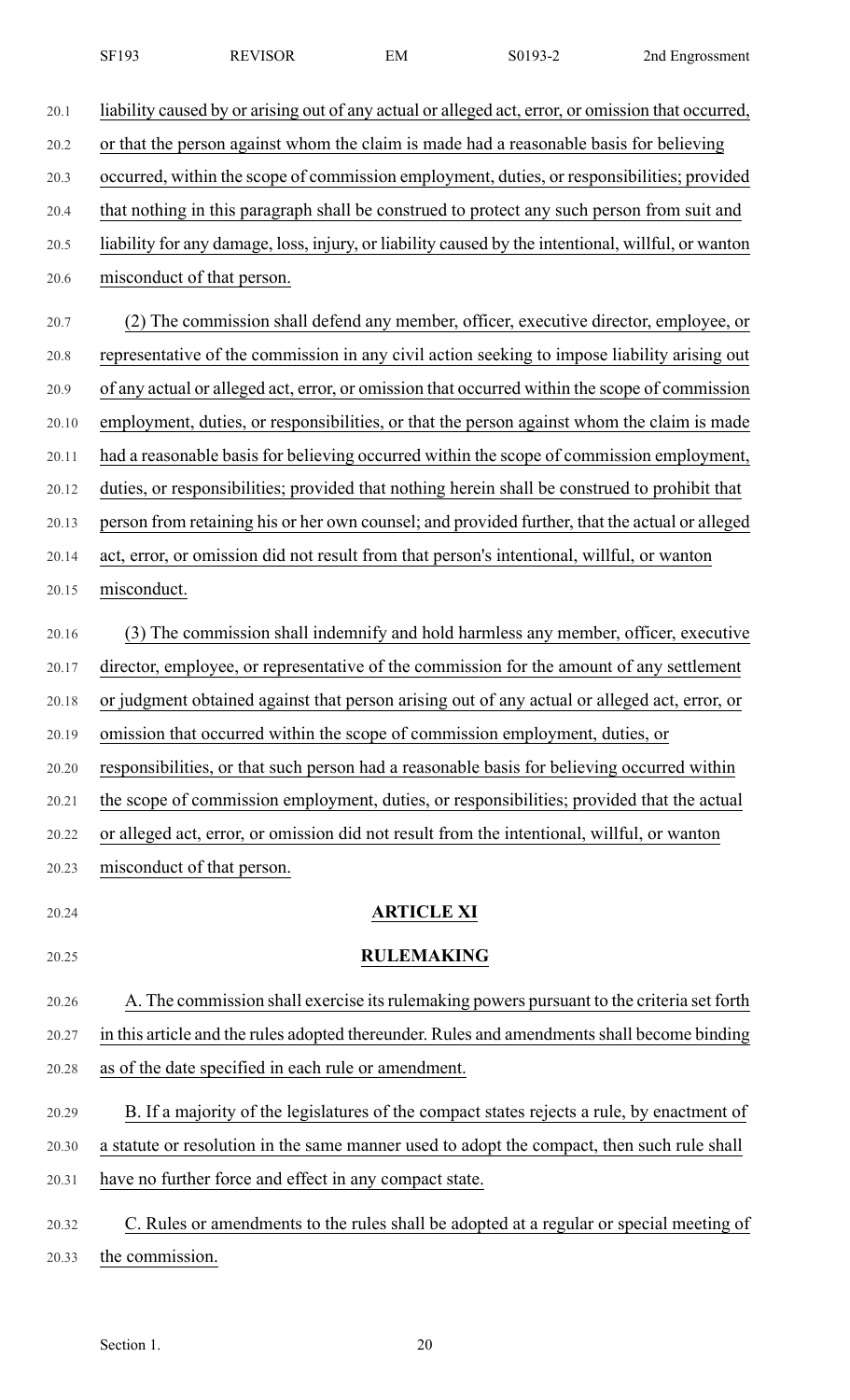| SF193 | <b>REVISOR</b> | EМ | S0193-2 | 2nd Engrossment |
|-------|----------------|----|---------|-----------------|
|-------|----------------|----|---------|-----------------|

20.1 liability caused by or arising out of any actual or alleged act, error, or omission that occurred,

20.2 or that the person against whom the claim is made had a reasonable basis for believing

20.3 occurred, within the scope of commission employment, duties, or responsibilities; provided

- 20.4 that nothing in this paragraph shall be construed to protect any such person from suit and
- 20.5 liability for any damage, loss, injury, or liability caused by the intentional, willful, or wanton

20.6 misconduct of that person.

- 20.7 (2) The commission shall defend any member, officer, executive director, employee, or 20.8 representative of the commission in any civil action seeking to impose liability arising out 20.9 of any actual or alleged act, error, or omission that occurred within the scope of commission 20.10 employment, duties, or responsibilities, or that the person against whom the claim is made 20.11 had a reasonable basis for believing occurred within the scope of commission employment, 20.12 duties, or responsibilities; provided that nothing herein shall be construed to prohibit that 20.13 person from retaining his or her own counsel; and provided further, that the actual or alleged 20.14 act, error, or omission did not result from that person's intentional, willful, or wanton
- 20.15 misconduct.

20.23 misconduct of that person.

- 20.16 (3) The commission shall indemnify and hold harmless any member, officer, executive 20.17 director, employee, or representative of the commission for the amount of any settlement 20.18 or judgment obtained against that person arising out of any actual or alleged act, error, or 20.19 omission that occurred within the scope of commission employment, duties, or 20.20 responsibilities, or that such person had a reasonable basis for believing occurred within 20.21 the scope of commission employment, duties, or responsibilities; provided that the actual 20.22 or alleged act, error, or omission did not result from the intentional, willful, or wanton
- 

### 20.24 **ARTICLE XI**

## 20.25 **RULEMAKING**

20.26 A. The commission shall exercise itsrulemaking powers pursuant to the criteria set forth 20.27 in this article and the rules adopted thereunder. Rules and amendments shall become binding 20.28 as of the date specified in each rule or amendment.

- 20.29 B. If a majority of the legislatures of the compact states rejects a rule, by enactment of
- 20.30 a statute or resolution in the same manner used to adopt the compact, then such rule shall
- 20.31 have no further force and effect in any compact state.
- 20.32 C. Rules or amendments to the rules shall be adopted at a regular or special meeting of 20.33 the commission.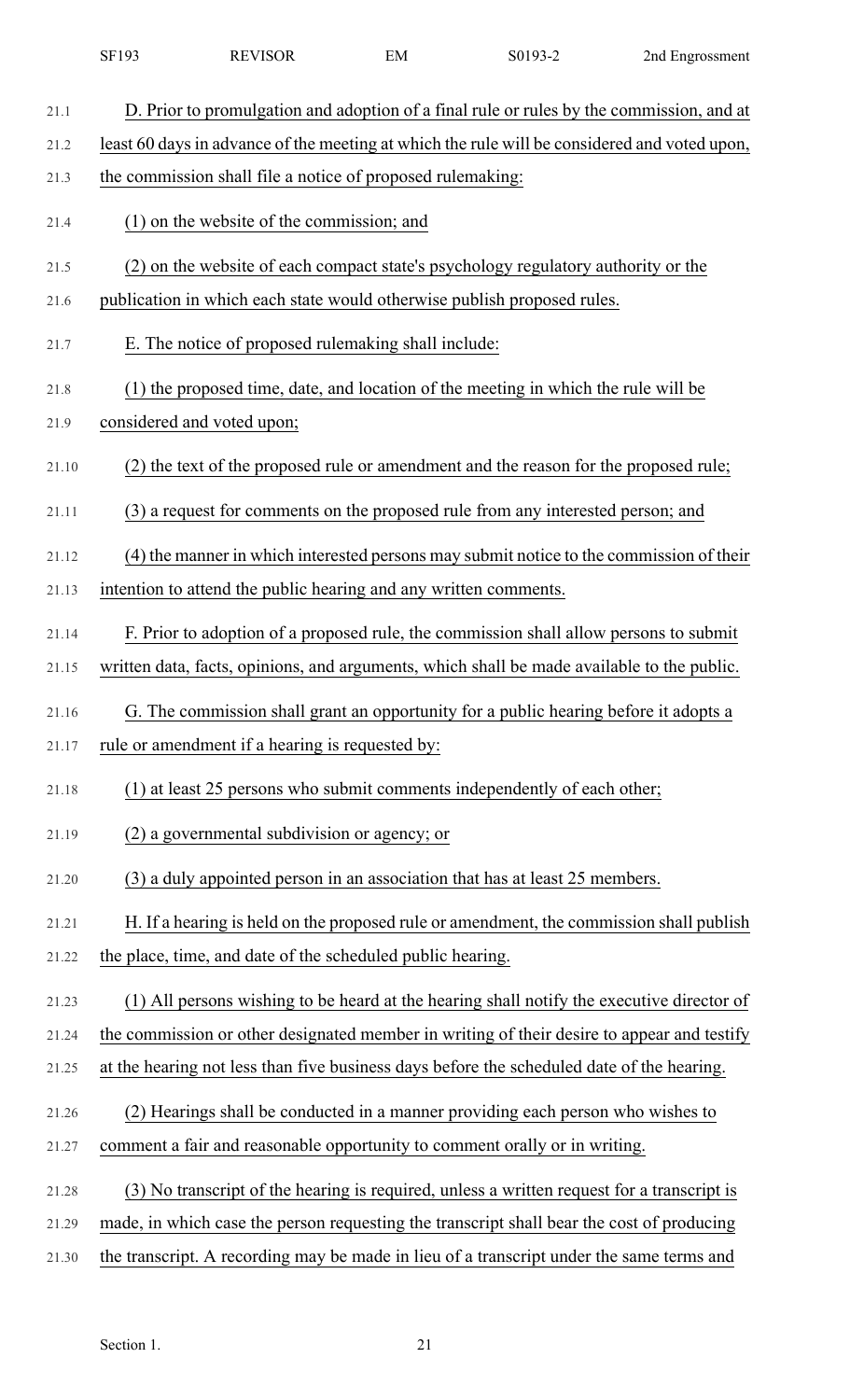| 21.1  | D. Prior to promulgation and adoption of a final rule or rules by the commission, and at     |
|-------|----------------------------------------------------------------------------------------------|
| 21.2  | least 60 days in advance of the meeting at which the rule will be considered and voted upon, |
| 21.3  | the commission shall file a notice of proposed rulemaking:                                   |
| 21.4  | (1) on the website of the commission; and                                                    |
| 21.5  | (2) on the website of each compact state's psychology regulatory authority or the            |
| 21.6  | publication in which each state would otherwise publish proposed rules.                      |
| 21.7  | E. The notice of proposed rulemaking shall include:                                          |
| 21.8  | (1) the proposed time, date, and location of the meeting in which the rule will be           |
| 21.9  | considered and voted upon;                                                                   |
| 21.10 | (2) the text of the proposed rule or amendment and the reason for the proposed rule;         |
| 21.11 | (3) a request for comments on the proposed rule from any interested person; and              |
| 21.12 | (4) the manner in which interested persons may submit notice to the commission of their      |
| 21.13 | intention to attend the public hearing and any written comments.                             |
| 21.14 | F. Prior to adoption of a proposed rule, the commission shall allow persons to submit        |
| 21.15 | written data, facts, opinions, and arguments, which shall be made available to the public.   |
| 21.16 | G. The commission shall grant an opportunity for a public hearing before it adopts a         |
| 21.17 | rule or amendment if a hearing is requested by:                                              |
| 21.18 | (1) at least 25 persons who submit comments independently of each other;                     |
| 21.19 | (2) a governmental subdivision or agency; or                                                 |
| 21.20 | (3) a duly appointed person in an association that has at least 25 members.                  |
| 21.21 | H. If a hearing is held on the proposed rule or amendment, the commission shall publish      |
| 21.22 | the place, time, and date of the scheduled public hearing.                                   |
| 21.23 | (1) All persons wishing to be heard at the hearing shall notify the executive director of    |
| 21.24 | the commission or other designated member in writing of their desire to appear and testify   |
| 21.25 | at the hearing not less than five business days before the scheduled date of the hearing.    |
| 21.26 | (2) Hearings shall be conducted in a manner providing each person who wishes to              |
| 21.27 | comment a fair and reasonable opportunity to comment orally or in writing.                   |
| 21.28 | (3) No transcript of the hearing is required, unless a written request for a transcript is   |
| 21.29 | made, in which case the person requesting the transcript shall bear the cost of producing    |
| 21.30 | the transcript. A recording may be made in lieu of a transcript under the same terms and     |

SF193 REVISOR EM S0193-2 2nd Engrossment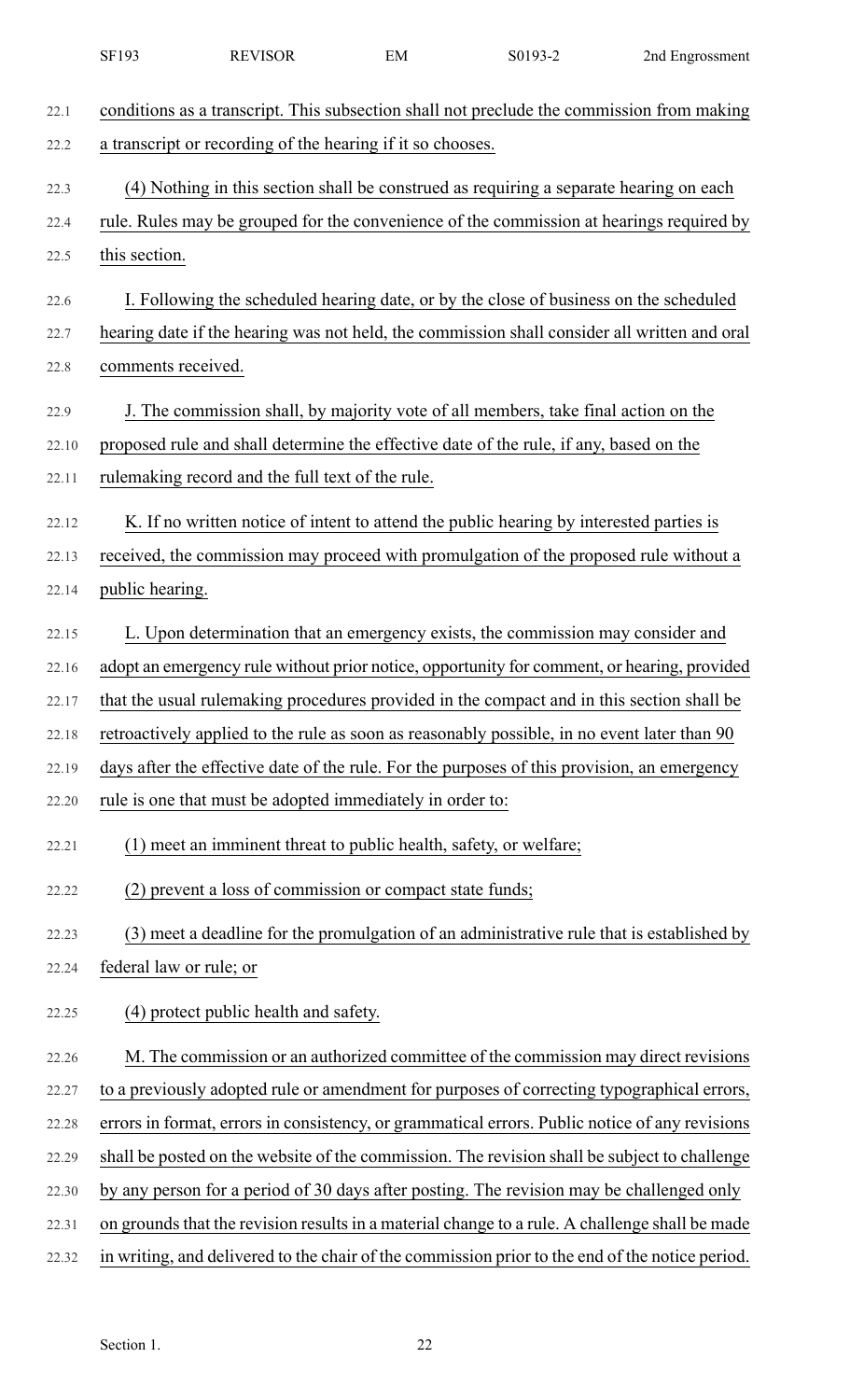|       | SF193                                                                                  | <b>REVISOR</b>                                                    | EM | S0193-2                                                                                     | 2nd Engrossment                                                                                 |
|-------|----------------------------------------------------------------------------------------|-------------------------------------------------------------------|----|---------------------------------------------------------------------------------------------|-------------------------------------------------------------------------------------------------|
| 22.1  |                                                                                        |                                                                   |    |                                                                                             | conditions as a transcript. This subsection shall not preclude the commission from making       |
| 22.2  |                                                                                        | a transcript or recording of the hearing if it so chooses.        |    |                                                                                             |                                                                                                 |
| 22.3  | (4) Nothing in this section shall be construed as requiring a separate hearing on each |                                                                   |    |                                                                                             |                                                                                                 |
| 22.4  |                                                                                        |                                                                   |    |                                                                                             | rule. Rules may be grouped for the convenience of the commission at hearings required by        |
| 22.5  | this section.                                                                          |                                                                   |    |                                                                                             |                                                                                                 |
| 22.6  |                                                                                        |                                                                   |    | I. Following the scheduled hearing date, or by the close of business on the scheduled       |                                                                                                 |
| 22.7  |                                                                                        |                                                                   |    |                                                                                             | hearing date if the hearing was not held, the commission shall consider all written and oral    |
| 22.8  | comments received.                                                                     |                                                                   |    |                                                                                             |                                                                                                 |
| 22.9  |                                                                                        |                                                                   |    | J. The commission shall, by majority vote of all members, take final action on the          |                                                                                                 |
| 22.10 |                                                                                        |                                                                   |    | proposed rule and shall determine the effective date of the rule, if any, based on the      |                                                                                                 |
| 22.11 |                                                                                        | rulemaking record and the full text of the rule.                  |    |                                                                                             |                                                                                                 |
| 22.12 |                                                                                        |                                                                   |    | K. If no written notice of intent to attend the public hearing by interested parties is     |                                                                                                 |
| 22.13 |                                                                                        |                                                                   |    |                                                                                             | received, the commission may proceed with promulgation of the proposed rule without a           |
| 22.14 | public hearing.                                                                        |                                                                   |    |                                                                                             |                                                                                                 |
| 22.15 |                                                                                        |                                                                   |    | L. Upon determination that an emergency exists, the commission may consider and             |                                                                                                 |
| 22.16 |                                                                                        |                                                                   |    |                                                                                             | adopt an emergency rule without prior notice, opportunity for comment, or hearing, provided     |
| 22.17 |                                                                                        |                                                                   |    |                                                                                             | that the usual rulemaking procedures provided in the compact and in this section shall be       |
| 22.18 |                                                                                        |                                                                   |    | retroactively applied to the rule as soon as reasonably possible, in no event later than 90 |                                                                                                 |
| 22.19 |                                                                                        |                                                                   |    |                                                                                             | days after the effective date of the rule. For the purposes of this provision, an emergency     |
| 22.20 |                                                                                        | rule is one that must be adopted immediately in order to:         |    |                                                                                             |                                                                                                 |
| 22.21 |                                                                                        | (1) meet an imminent threat to public health, safety, or welfare; |    |                                                                                             |                                                                                                 |
| 22.22 |                                                                                        | (2) prevent a loss of commission or compact state funds;          |    |                                                                                             |                                                                                                 |
| 22.23 |                                                                                        |                                                                   |    |                                                                                             | (3) meet a deadline for the promulgation of an administrative rule that is established by       |
| 22.24 | federal law or rule; or                                                                |                                                                   |    |                                                                                             |                                                                                                 |
| 22.25 |                                                                                        | (4) protect public health and safety.                             |    |                                                                                             |                                                                                                 |
| 22.26 |                                                                                        |                                                                   |    |                                                                                             | M. The commission or an authorized committee of the commission may direct revisions             |
| 22.27 |                                                                                        |                                                                   |    |                                                                                             | to a previously adopted rule or amendment for purposes of correcting typographical errors,      |
| 22.28 |                                                                                        |                                                                   |    |                                                                                             | errors in format, errors in consistency, or grammatical errors. Public notice of any revisions  |
| 22.29 |                                                                                        |                                                                   |    |                                                                                             | shall be posted on the website of the commission. The revision shall be subject to challenge    |
| 22.30 |                                                                                        |                                                                   |    |                                                                                             | by any person for a period of 30 days after posting. The revision may be challenged only        |
| 22.31 |                                                                                        |                                                                   |    |                                                                                             | on grounds that the revision results in a material change to a rule. A challenge shall be made  |
| 22.32 |                                                                                        |                                                                   |    |                                                                                             | in writing, and delivered to the chair of the commission prior to the end of the notice period. |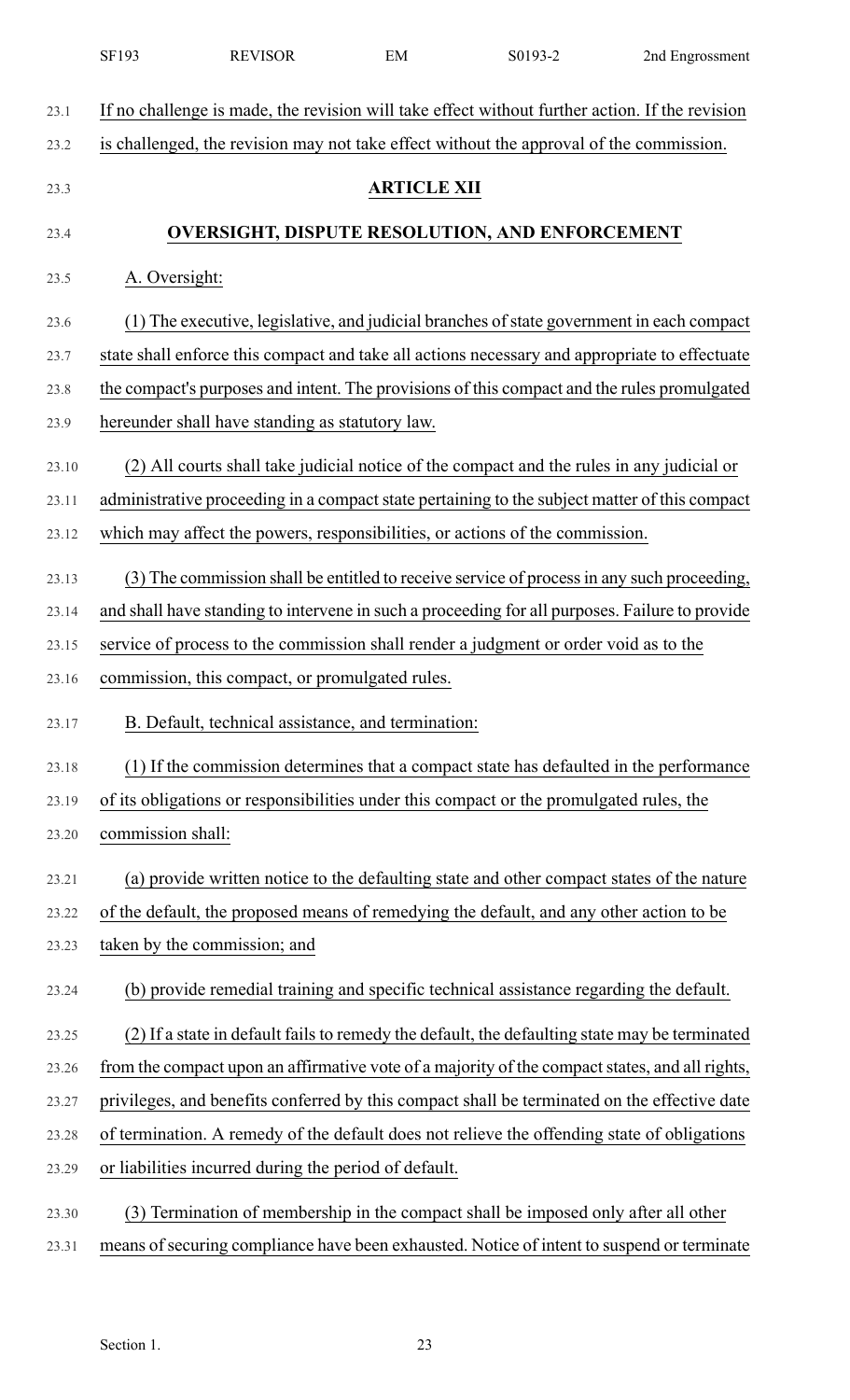|       | SF193                                                                                       | <b>REVISOR</b>                                        | EM                 | S0193-2                                                                                        | 2nd Engrossment |
|-------|---------------------------------------------------------------------------------------------|-------------------------------------------------------|--------------------|------------------------------------------------------------------------------------------------|-----------------|
| 23.1  |                                                                                             |                                                       |                    | If no challenge is made, the revision will take effect without further action. If the revision |                 |
| 23.2  |                                                                                             |                                                       |                    | is challenged, the revision may not take effect without the approval of the commission.        |                 |
| 23.3  |                                                                                             |                                                       | <b>ARTICLE XII</b> |                                                                                                |                 |
| 23.4  | <b>OVERSIGHT, DISPUTE RESOLUTION, AND ENFORCEMENT</b>                                       |                                                       |                    |                                                                                                |                 |
| 23.5  | A. Oversight:                                                                               |                                                       |                    |                                                                                                |                 |
|       |                                                                                             |                                                       |                    |                                                                                                |                 |
| 23.6  |                                                                                             |                                                       |                    | (1) The executive, legislative, and judicial branches of state government in each compact      |                 |
| 23.7  |                                                                                             |                                                       |                    | state shall enforce this compact and take all actions necessary and appropriate to effectuate  |                 |
| 23.8  | the compact's purposes and intent. The provisions of this compact and the rules promulgated |                                                       |                    |                                                                                                |                 |
| 23.9  |                                                                                             | hereunder shall have standing as statutory law.       |                    |                                                                                                |                 |
| 23.10 |                                                                                             |                                                       |                    | (2) All courts shall take judicial notice of the compact and the rules in any judicial or      |                 |
| 23.11 |                                                                                             |                                                       |                    | administrative proceeding in a compact state pertaining to the subject matter of this compact  |                 |
| 23.12 |                                                                                             |                                                       |                    | which may affect the powers, responsibilities, or actions of the commission.                   |                 |
| 23.13 |                                                                                             |                                                       |                    | (3) The commission shall be entitled to receive service of process in any such proceeding,     |                 |
| 23.14 |                                                                                             |                                                       |                    | and shall have standing to intervene in such a proceeding for all purposes. Failure to provide |                 |
| 23.15 |                                                                                             |                                                       |                    | service of process to the commission shall render a judgment or order void as to the           |                 |
| 23.16 |                                                                                             | commission, this compact, or promulgated rules.       |                    |                                                                                                |                 |
| 23.17 |                                                                                             | B. Default, technical assistance, and termination:    |                    |                                                                                                |                 |
| 23.18 |                                                                                             |                                                       |                    | (1) If the commission determines that a compact state has defaulted in the performance         |                 |
| 23.19 |                                                                                             |                                                       |                    | of its obligations or responsibilities under this compact or the promulgated rules, the        |                 |
| 23.20 | commission shall:                                                                           |                                                       |                    |                                                                                                |                 |
| 23.21 |                                                                                             |                                                       |                    | (a) provide written notice to the defaulting state and other compact states of the nature      |                 |
| 23.22 |                                                                                             |                                                       |                    | of the default, the proposed means of remedying the default, and any other action to be        |                 |
| 23.23 |                                                                                             | taken by the commission; and                          |                    |                                                                                                |                 |
| 23.24 |                                                                                             |                                                       |                    | (b) provide remedial training and specific technical assistance regarding the default.         |                 |
| 23.25 |                                                                                             |                                                       |                    | (2) If a state in default fails to remedy the default, the defaulting state may be terminated  |                 |
| 23.26 |                                                                                             |                                                       |                    | from the compact upon an affirmative vote of a majority of the compact states, and all rights, |                 |
| 23.27 |                                                                                             |                                                       |                    | privileges, and benefits conferred by this compact shall be terminated on the effective date   |                 |
| 23.28 |                                                                                             |                                                       |                    | of termination. A remedy of the default does not relieve the offending state of obligations    |                 |
| 23.29 |                                                                                             | or liabilities incurred during the period of default. |                    |                                                                                                |                 |
| 23.30 |                                                                                             |                                                       |                    | (3) Termination of membership in the compact shall be imposed only after all other             |                 |
| 23.31 |                                                                                             |                                                       |                    | means of securing compliance have been exhausted. Notice of intent to suspend or terminate     |                 |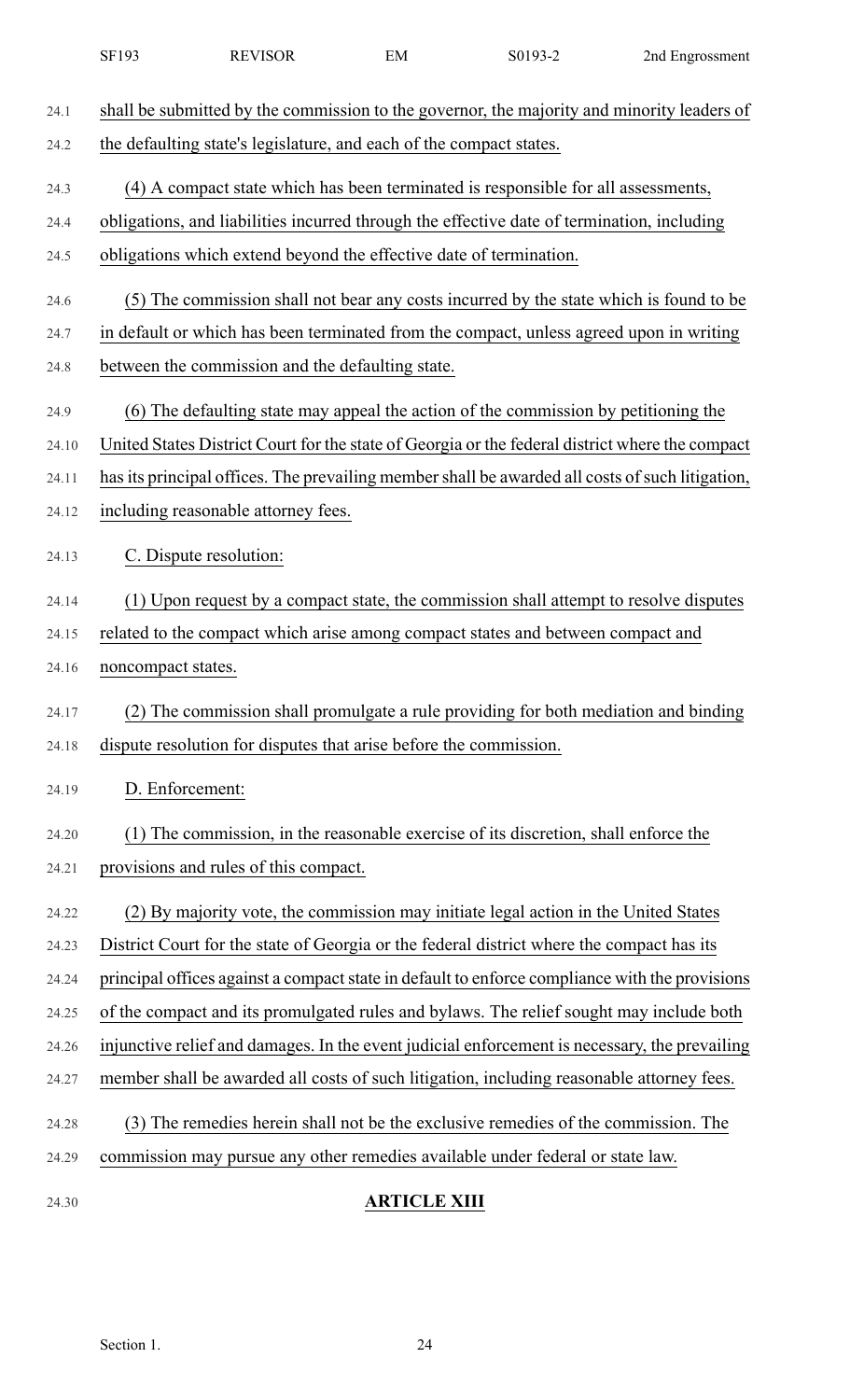| 24.1  | shall be submitted by the commission to the governor, the majority and minority leaders of      |
|-------|-------------------------------------------------------------------------------------------------|
| 24.2  | the defaulting state's legislature, and each of the compact states.                             |
| 24.3  | (4) A compact state which has been terminated is responsible for all assessments,               |
| 24.4  | obligations, and liabilities incurred through the effective date of termination, including      |
| 24.5  | obligations which extend beyond the effective date of termination.                              |
| 24.6  | (5) The commission shall not bear any costs incurred by the state which is found to be          |
| 24.7  | in default or which has been terminated from the compact, unless agreed upon in writing         |
| 24.8  | between the commission and the defaulting state.                                                |
| 24.9  | (6) The defaulting state may appeal the action of the commission by petitioning the             |
| 24.10 | United States District Court for the state of Georgia or the federal district where the compact |
| 24.11 | has its principal offices. The prevailing member shall be awarded all costs of such litigation, |
| 24.12 | including reasonable attorney fees.                                                             |
|       |                                                                                                 |
| 24.13 | C. Dispute resolution:                                                                          |
| 24.14 | (1) Upon request by a compact state, the commission shall attempt to resolve disputes           |
| 24.15 | related to the compact which arise among compact states and between compact and                 |
| 24.16 | noncompact states.                                                                              |
| 24.17 | (2) The commission shall promulgate a rule providing for both mediation and binding             |
| 24.18 | dispute resolution for disputes that arise before the commission.                               |
| 24.19 | D. Enforcement:                                                                                 |
| 24.20 | (1) The commission, in the reasonable exercise of its discretion, shall enforce the             |
| 24.21 | provisions and rules of this compact.                                                           |
|       |                                                                                                 |
| 24.22 | (2) By majority vote, the commission may initiate legal action in the United States             |
| 24.23 | District Court for the state of Georgia or the federal district where the compact has its       |
| 24.24 | principal offices against a compact state in default to enforce compliance with the provisions  |
| 24.25 | of the compact and its promulgated rules and bylaws. The relief sought may include both         |
| 24.26 | injunctive relief and damages. In the event judicial enforcement is necessary, the prevailing   |
| 24.27 | member shall be awarded all costs of such litigation, including reasonable attorney fees.       |
| 24.28 | (3) The remedies herein shall not be the exclusive remedies of the commission. The              |
| 24.29 | commission may pursue any other remedies available under federal or state law.                  |
| 24.30 | <b>ARTICLE XIII</b>                                                                             |

SF193 REVISOR EM S0193-2 2nd Engrossment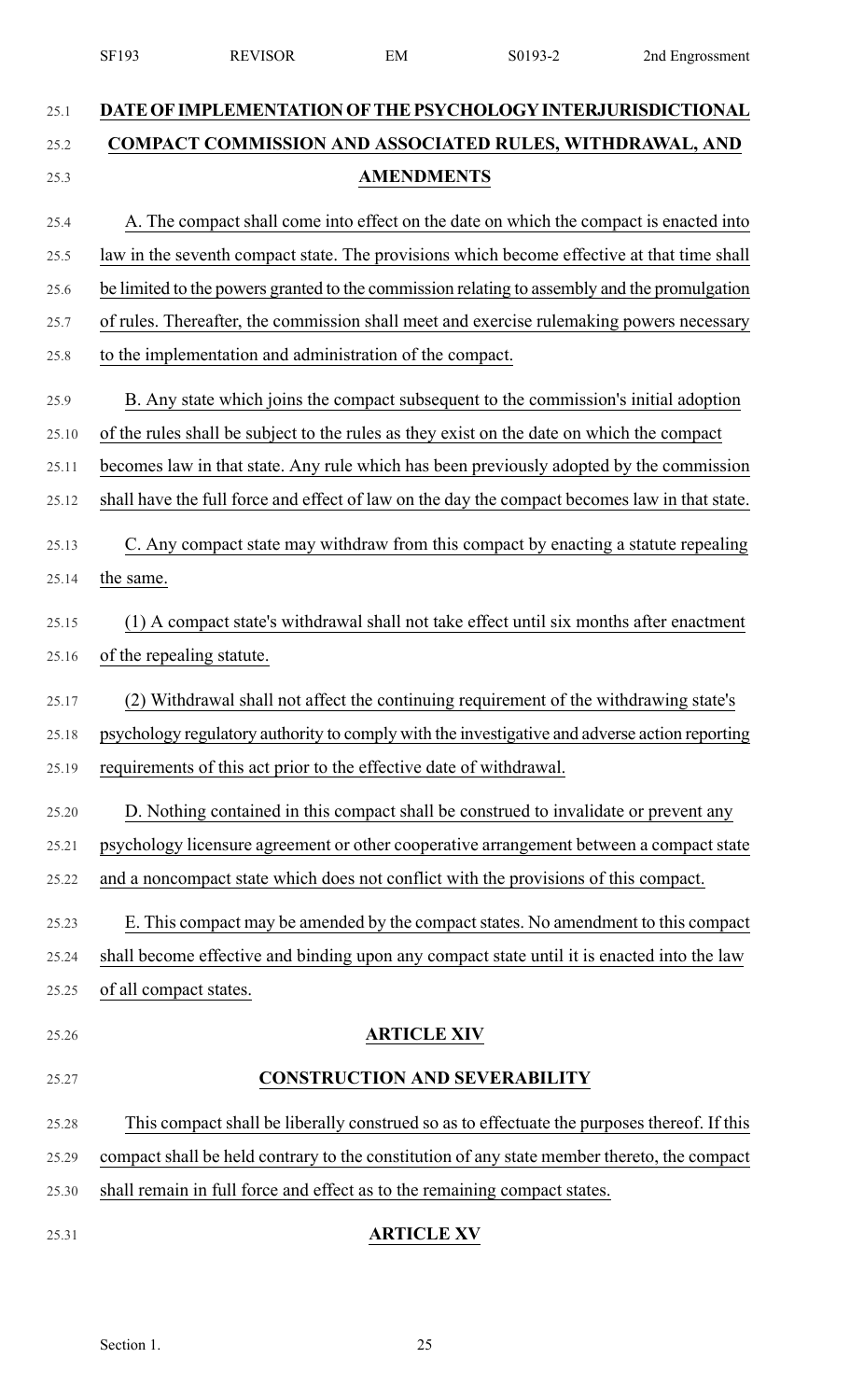|       | SF193                                                                                         | <b>REVISOR</b>                                                                                | EM                 | S0193-2                              | 2nd Engrossment |
|-------|-----------------------------------------------------------------------------------------------|-----------------------------------------------------------------------------------------------|--------------------|--------------------------------------|-----------------|
| 25.1  |                                                                                               | DATE OF IMPLEMENTATION OF THE PSYCHOLOGY INTERJURISDICTIONAL                                  |                    |                                      |                 |
| 25.2  |                                                                                               | COMPACT COMMISSION AND ASSOCIATED RULES, WITHDRAWAL, AND                                      |                    |                                      |                 |
| 25.3  |                                                                                               | <b>AMENDMENTS</b>                                                                             |                    |                                      |                 |
| 25.4  |                                                                                               | A. The compact shall come into effect on the date on which the compact is enacted into        |                    |                                      |                 |
| 25.5  |                                                                                               | law in the seventh compact state. The provisions which become effective at that time shall    |                    |                                      |                 |
| 25.6  |                                                                                               | be limited to the powers granted to the commission relating to assembly and the promulgation  |                    |                                      |                 |
| 25.7  |                                                                                               | of rules. Thereafter, the commission shall meet and exercise rulemaking powers necessary      |                    |                                      |                 |
| 25.8  |                                                                                               | to the implementation and administration of the compact.                                      |                    |                                      |                 |
| 25.9  |                                                                                               | B. Any state which joins the compact subsequent to the commission's initial adoption          |                    |                                      |                 |
| 25.10 | of the rules shall be subject to the rules as they exist on the date on which the compact     |                                                                                               |                    |                                      |                 |
| 25.11 | becomes law in that state. Any rule which has been previously adopted by the commission       |                                                                                               |                    |                                      |                 |
| 25.12 | shall have the full force and effect of law on the day the compact becomes law in that state. |                                                                                               |                    |                                      |                 |
| 25.13 |                                                                                               | C. Any compact state may withdraw from this compact by enacting a statute repealing           |                    |                                      |                 |
| 25.14 | the same.                                                                                     |                                                                                               |                    |                                      |                 |
| 25.15 |                                                                                               | (1) A compact state's withdrawal shall not take effect until six months after enactment       |                    |                                      |                 |
| 25.16 |                                                                                               | of the repealing statute.                                                                     |                    |                                      |                 |
| 25.17 |                                                                                               | (2) Withdrawal shall not affect the continuing requirement of the withdrawing state's         |                    |                                      |                 |
| 25.18 |                                                                                               | psychology regulatory authority to comply with the investigative and adverse action reporting |                    |                                      |                 |
| 25.19 |                                                                                               | requirements of this act prior to the effective date of withdrawal.                           |                    |                                      |                 |
| 25.20 |                                                                                               | D. Nothing contained in this compact shall be construed to invalidate or prevent any          |                    |                                      |                 |
| 25.21 |                                                                                               | psychology licensure agreement or other cooperative arrangement between a compact state       |                    |                                      |                 |
| 25.22 |                                                                                               | and a noncompact state which does not conflict with the provisions of this compact.           |                    |                                      |                 |
| 25.23 |                                                                                               | E. This compact may be amended by the compact states. No amendment to this compact            |                    |                                      |                 |
| 25.24 |                                                                                               | shall become effective and binding upon any compact state until it is enacted into the law    |                    |                                      |                 |
| 25.25 | of all compact states.                                                                        |                                                                                               |                    |                                      |                 |
| 25.26 |                                                                                               |                                                                                               | <b>ARTICLE XIV</b> |                                      |                 |
| 25.27 |                                                                                               |                                                                                               |                    | <b>CONSTRUCTION AND SEVERABILITY</b> |                 |
| 25.28 |                                                                                               | This compact shall be liberally construed so as to effectuate the purposes thereof. If this   |                    |                                      |                 |
| 25.29 |                                                                                               | compact shall be held contrary to the constitution of any state member thereto, the compact   |                    |                                      |                 |
| 25.30 |                                                                                               | shall remain in full force and effect as to the remaining compact states.                     |                    |                                      |                 |
| 25.31 |                                                                                               |                                                                                               | <b>ARTICLE XV</b>  |                                      |                 |